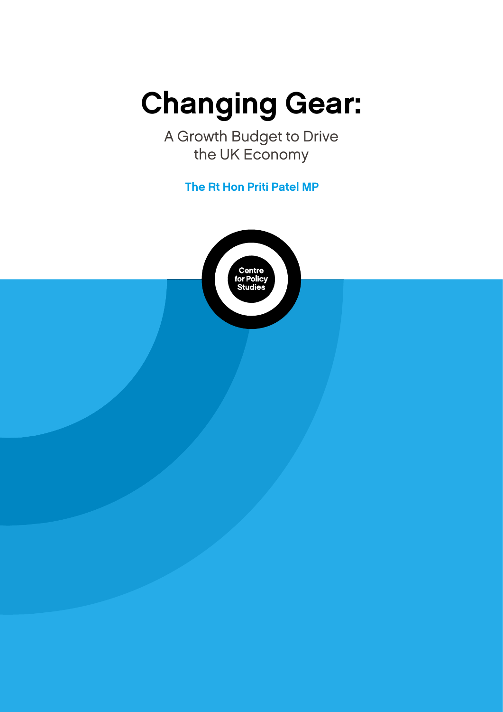# Changing Gear:

A Growth Budget to Drive the UK Economy

The Rt Hon Priti Patel MP

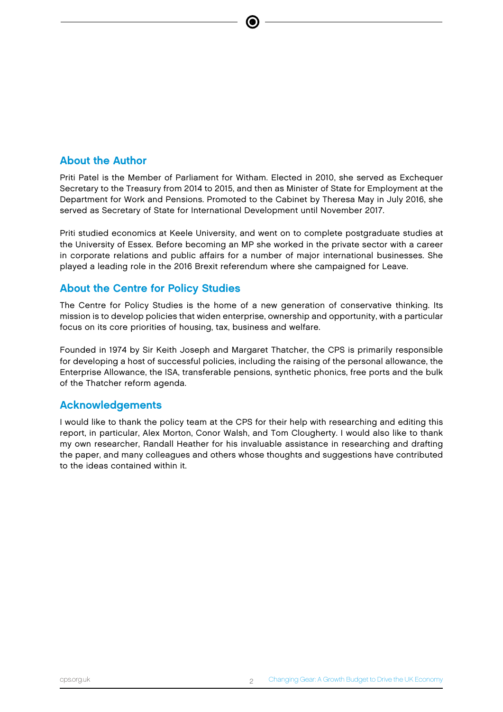### About the Author

Priti Patel is the Member of Parliament for Witham. Elected in 2010, she served as Exchequer Secretary to the Treasury from 2014 to 2015, and then as Minister of State for Employment at the Department for Work and Pensions. Promoted to the Cabinet by Theresa May in July 2016, she served as Secretary of State for International Development until November 2017.

Priti studied economics at Keele University, and went on to complete postgraduate studies at the University of Essex. Before becoming an MP she worked in the private sector with a career in corporate relations and public affairs for a number of major international businesses. She played a leading role in the 2016 Brexit referendum where she campaigned for Leave.

#### About the Centre for Policy Studies

The Centre for Policy Studies is the home of a new generation of conservative thinking. Its mission is to develop policies that widen enterprise, ownership and opportunity, with a particular focus on its core priorities of housing, tax, business and welfare.

Founded in 1974 by Sir Keith Joseph and Margaret Thatcher, the CPS is primarily responsible for developing a host of successful policies, including the raising of the personal allowance, the Enterprise Allowance, the ISA, transferable pensions, synthetic phonics, free ports and the bulk of the Thatcher reform agenda.

#### Acknowledgements

I would like to thank the policy team at the CPS for their help with researching and editing this report, in particular, Alex Morton, Conor Walsh, and Tom Clougherty. I would also like to thank my own researcher, Randall Heather for his invaluable assistance in researching and drafting the paper, and many colleagues and others whose thoughts and suggestions have contributed to the ideas contained within it.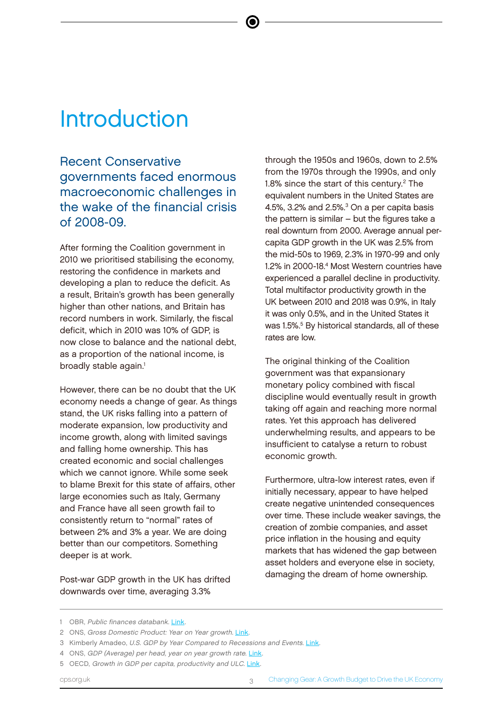# **Introduction**

Recent Conservative governments faced enormous macroeconomic challenges in the wake of the financial crisis of 2008-09.

e

After forming the Coalition government in 2010 we prioritised stabilising the economy, restoring the confidence in markets and developing a plan to reduce the deficit. As a result, Britain's growth has been generally higher than other nations, and Britain has record numbers in work. Similarly, the fiscal deficit, which in 2010 was 10% of GDP, is now close to balance and the national debt, as a proportion of the national income, is broadly stable again.<sup>1</sup>

However, there can be no doubt that the UK economy needs a change of gear. As things stand, the UK risks falling into a pattern of moderate expansion, low productivity and income growth, along with limited savings and falling home ownership. This has created economic and social challenges which we cannot ignore. While some seek to blame Brexit for this state of affairs, other large economies such as Italy, Germany and France have all seen growth fail to consistently return to "normal" rates of between 2% and 3% a year. We are doing better than our competitors. Something deeper is at work.

Post-war GDP growth in the UK has drifted downwards over time, averaging 3.3%

through the 1950s and 1960s, down to 2.5% from the 1970s through the 1990s, and only 1.8% since the start of this century.<sup>2</sup> The equivalent numbers in the United States are 4.5%, 3.2% and 2.5%. $3$  On a per capita basis the pattern is similar – but the figures take a real downturn from 2000. Average annual percapita GDP growth in the UK was 2.5% from the mid-50s to 1969, 2.3% in 1970-99 and only 1.2% in 2000-18.<sup>4</sup> Most Western countries have experienced a parallel decline in productivity. Total multifactor productivity growth in the UK between 2010 and 2018 was 0.9%, in Italy it was only 0.5%, and in the United States it was 1.5%.<sup>5</sup> By historical standards, all of these rates are low.

The original thinking of the Coalition government was that expansionary monetary policy combined with fiscal discipline would eventually result in growth taking off again and reaching more normal rates. Yet this approach has delivered underwhelming results, and appears to be insufficient to catalyse a return to robust economic growth.

Furthermore, ultra-low interest rates, even if initially necessary, appear to have helped create negative unintended consequences over time. These include weaker savings, the creation of zombie companies, and asset price inflation in the housing and equity markets that has widened the gap between asset holders and everyone else in society, damaging the dream of home ownership.

cps.org.uk 3 Changing Gear: A Growth Budget to Drive the UK Economy

<sup>1</sup> OBR, Public finances databank. [Link.](https://obr.uk/download/public-finances-databank/)

<sup>2</sup> ONS, Gross Domestic Product: Year on Year growth. [Link](https://www.ons.gov.uk/economy/grossdomesticproductgdp/timeseries/ihyp/pn2).

<sup>3</sup> Kimberly Amadeo, U.S. GDP by Year Compared to Recessions and Events. [Link.](https://www.thebalance.com/us-gdp-by-year-3305543)

<sup>4</sup> ONS, GDP (Average) per head, year on year growth rate. [Link](https://www.ons.gov.uk/economy/grossdomesticproductgdp/timeseries/n3y6/ukea).

<sup>5</sup> OECD, Growth in GDP per capita, productivity and ULC. [Link.](https://stats.oecd.org/Index.aspx?DataSetCode=PDB_GR)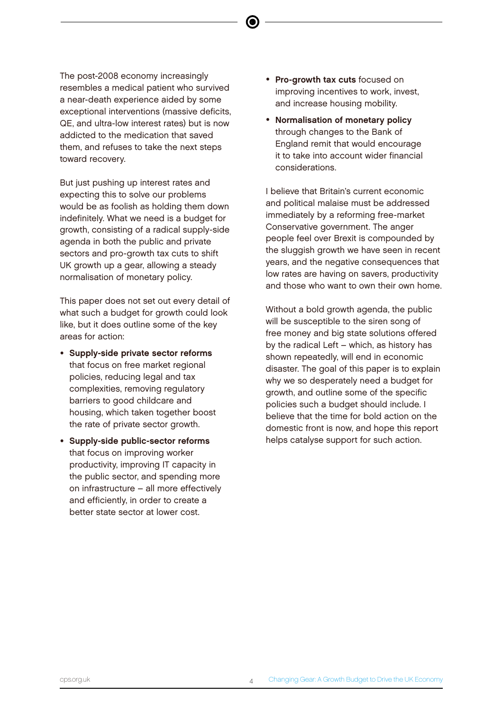The post-2008 economy increasingly resembles a medical patient who survived a near-death experience aided by some exceptional interventions (massive deficits, QE, and ultra-low interest rates) but is now addicted to the medication that saved them, and refuses to take the next steps toward recovery.

But just pushing up interest rates and expecting this to solve our problems would be as foolish as holding them down indefinitely. What we need is a budget for growth, consisting of a radical supply-side agenda in both the public and private sectors and pro-growth tax cuts to shift UK growth up a gear, allowing a steady normalisation of monetary policy.

This paper does not set out every detail of what such a budget for growth could look like, but it does outline some of the key areas for action:

- Supply-side private sector reforms that focus on free market regional policies, reducing legal and tax complexities, removing regulatory barriers to good childcare and housing, which taken together boost the rate of private sector growth.
- Supply-side public-sector reforms that focus on improving worker productivity, improving IT capacity in the public sector, and spending more on infrastructure – all more effectively and efficiently, in order to create a better state sector at lower cost.
- Pro-growth tax cuts focused on improving incentives to work, invest, and increase housing mobility.
- Normalisation of monetary policy through changes to the Bank of England remit that would encourage it to take into account wider financial considerations.

I believe that Britain's current economic and political malaise must be addressed immediately by a reforming free-market Conservative government. The anger people feel over Brexit is compounded by the sluggish growth we have seen in recent years, and the negative consequences that low rates are having on savers, productivity and those who want to own their own home.

Without a bold growth agenda, the public will be susceptible to the siren song of free money and big state solutions offered by the radical Left – which, as history has shown repeatedly, will end in economic disaster. The goal of this paper is to explain why we so desperately need a budget for growth, and outline some of the specific policies such a budget should include. I believe that the time for bold action on the domestic front is now, and hope this report helps catalyse support for such action.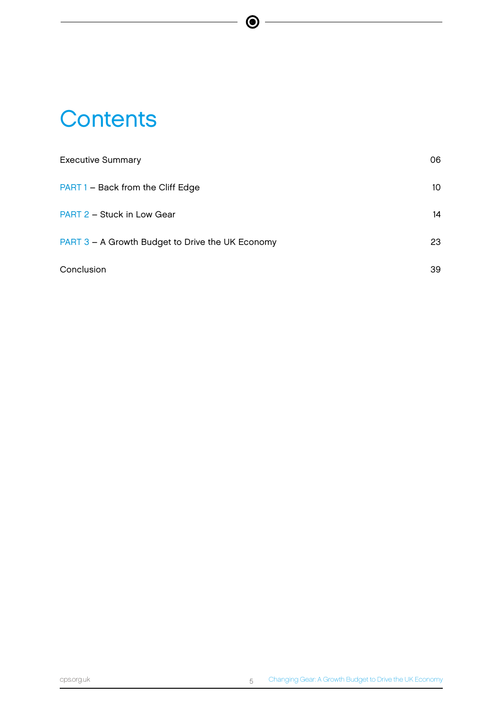# **Contents**

| <b>Executive Summary</b>                         | 06 |
|--------------------------------------------------|----|
| PART 1 - Back from the Cliff Edge                | 10 |
| PART 2 - Stuck in Low Gear                       | 14 |
| PART 3 - A Growth Budget to Drive the UK Economy | 23 |
| Conclusion                                       | 39 |

 $\bigcirc$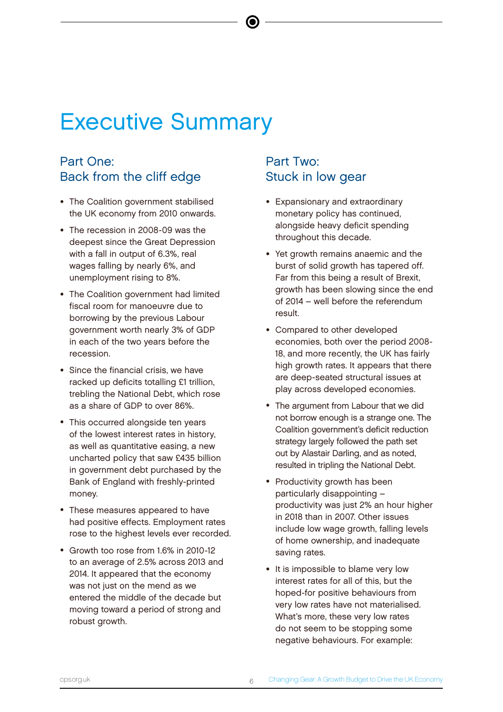# Executive Summary

### Part One: Back from the cliff edge

- The Coalition government stabilised the UK economy from 2010 onwards.
- The recession in 2008-09 was the deepest since the Great Depression with a fall in output of 6.3%, real wages falling by nearly 6%, and unemployment rising to 8%.
- The Coalition government had limited fiscal room for manoeuvre due to borrowing by the previous Labour government worth nearly 3% of GDP in each of the two years before the recession.
- Since the financial crisis, we have racked up deficits totalling £1 trillion, trebling the National Debt, which rose as a share of GDP to over 86%.
- This occurred alongside ten years of the lowest interest rates in history, as well as quantitative easing, a new uncharted policy that saw £435 billion in government debt purchased by the Bank of England with freshly-printed money.
- These measures appeared to have had positive effects. Employment rates rose to the highest levels ever recorded.
- Growth too rose from 1.6% in 2010-12 to an average of 2.5% across 2013 and 2014. It appeared that the economy was not just on the mend as we entered the middle of the decade but moving toward a period of strong and robust growth.

### Part Two: Stuck in low gear

- Expansionary and extraordinary monetary policy has continued, alongside heavy deficit spending throughout this decade.
- Yet growth remains anaemic and the burst of solid growth has tapered off. Far from this being a result of Brexit, growth has been slowing since the end of 2014 – well before the referendum result.
- Compared to other developed economies, both over the period 2008- 18, and more recently, the UK has fairly high growth rates. It appears that there are deep-seated structural issues at play across developed economies.
- The argument from Labour that we did not borrow enough is a strange one. The Coalition government's deficit reduction strategy largely followed the path set out by Alastair Darling, and as noted, resulted in tripling the National Debt.
- Productivity growth has been particularly disappointing – productivity was just 2% an hour higher in 2018 than in 2007. Other issues include low wage growth, falling levels of home ownership, and inadequate saving rates.
- It is impossible to blame very low interest rates for all of this, but the hoped-for positive behaviours from very low rates have not materialised. What's more, these very low rates do not seem to be stopping some negative behaviours. For example: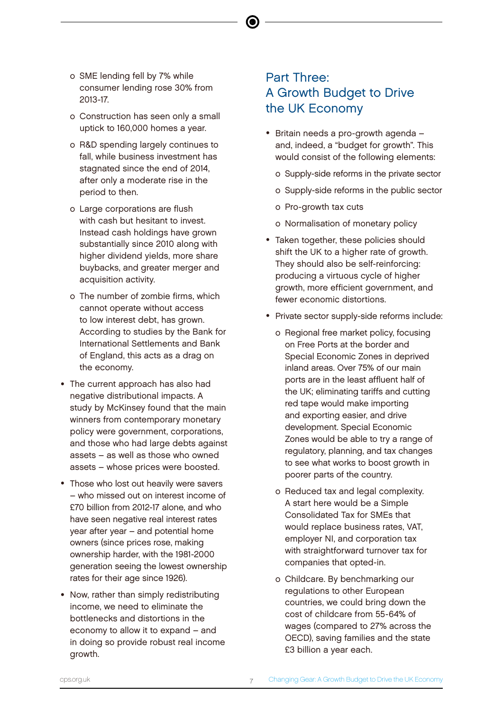- o SME lending fell by 7% while consumer lending rose 30% from 2013-17.
- o Construction has seen only a small uptick to 160,000 homes a year.
- o R&D spending largely continues to fall, while business investment has stagnated since the end of 2014, after only a moderate rise in the period to then.
- o Large corporations are flush with cash but hesitant to invest. Instead cash holdings have grown substantially since 2010 along with higher dividend yields, more share buybacks, and greater merger and acquisition activity.
- o The number of zombie firms, which cannot operate without access to low interest debt, has grown. According to studies by the Bank for International Settlements and Bank of England, this acts as a drag on the economy.
- The current approach has also had negative distributional impacts. A study by McKinsey found that the main winners from contemporary monetary policy were government, corporations, and those who had large debts against assets – as well as those who owned assets – whose prices were boosted.
- Those who lost out heavily were savers – who missed out on interest income of £70 billion from 2012-17 alone, and who have seen negative real interest rates year after year – and potential home owners (since prices rose, making ownership harder, with the 1981-2000 generation seeing the lowest ownership rates for their age since 1926).
- Now, rather than simply redistributing income, we need to eliminate the bottlenecks and distortions in the economy to allow it to expand – and in doing so provide robust real income growth.

# Part Three: A Growth Budget to Drive the UK Economy

- Britain needs a pro-growth agenda and, indeed, a "budget for growth". This would consist of the following elements:
	- o Supply-side reforms in the private sector
	- o Supply-side reforms in the public sector
	- o Pro-growth tax cuts
	- o Normalisation of monetary policy
- Taken together, these policies should shift the UK to a higher rate of growth. They should also be self-reinforcing: producing a virtuous cycle of higher growth, more efficient government, and fewer economic distortions.
- Private sector supply-side reforms include:
	- o Regional free market policy, focusing on Free Ports at the border and Special Economic Zones in deprived inland areas. Over 75% of our main ports are in the least affluent half of the UK; eliminating tariffs and cutting red tape would make importing and exporting easier, and drive development. Special Economic Zones would be able to try a range of regulatory, planning, and tax changes to see what works to boost growth in poorer parts of the country.
	- o Reduced tax and legal complexity. A start here would be a Simple Consolidated Tax for SMEs that would replace business rates, VAT, employer NI, and corporation tax with straightforward turnover tax for companies that opted-in.
	- o Childcare. By benchmarking our regulations to other European countries, we could bring down the cost of childcare from 55-64% of wages (compared to 27% across the OECD), saving families and the state £3 billion a year each.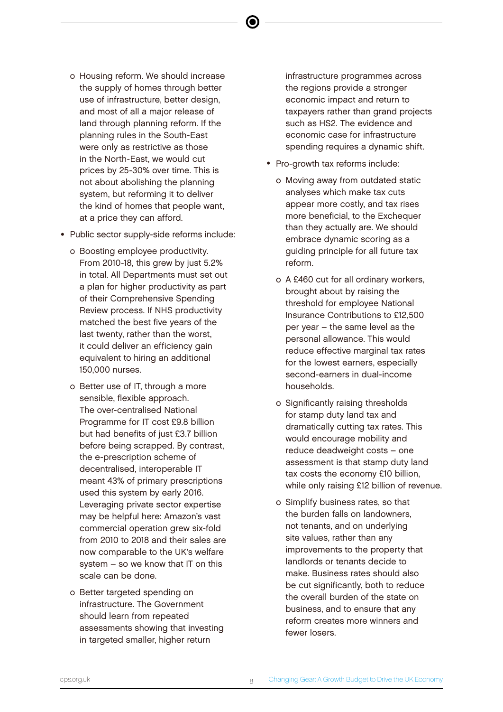- o Housing reform. We should increase the supply of homes through better use of infrastructure, better design, and most of all a major release of land through planning reform. If the planning rules in the South-East were only as restrictive as those in the North-East, we would cut prices by 25-30% over time. This is not about abolishing the planning system, but reforming it to deliver the kind of homes that people want, at a price they can afford.
- Public sector supply-side reforms include:
	- o Boosting employee productivity. From 2010-18, this grew by just 5.2% in total. All Departments must set out a plan for higher productivity as part of their Comprehensive Spending Review process. If NHS productivity matched the best five years of the last twenty, rather than the worst, it could deliver an efficiency gain equivalent to hiring an additional 150,000 nurses.
	- o Better use of IT, through a more sensible, flexible approach. The over-centralised National Programme for IT cost £9.8 billion but had benefits of just £3.7 billion before being scrapped. By contrast, the e-prescription scheme of decentralised, interoperable IT meant 43% of primary prescriptions used this system by early 2016. Leveraging private sector expertise may be helpful here: Amazon's vast commercial operation grew six-fold from 2010 to 2018 and their sales are now comparable to the UK's welfare system – so we know that IT on this scale can be done.
	- o Better targeted spending on infrastructure. The Government should learn from repeated assessments showing that investing in targeted smaller, higher return

infrastructure programmes across the regions provide a stronger economic impact and return to taxpayers rather than grand projects such as HS2. The evidence and economic case for infrastructure spending requires a dynamic shift.

- Pro-growth tax reforms include:
	- o Moving away from outdated static analyses which make tax cuts appear more costly, and tax rises more beneficial, to the Exchequer than they actually are. We should embrace dynamic scoring as a guiding principle for all future tax reform.
	- o A £460 cut for all ordinary workers, brought about by raising the threshold for employee National Insurance Contributions to £12,500 per year – the same level as the personal allowance. This would reduce effective marginal tax rates for the lowest earners, especially second-earners in dual-income households.
	- o Significantly raising thresholds for stamp duty land tax and dramatically cutting tax rates. This would encourage mobility and reduce deadweight costs – one assessment is that stamp duty land tax costs the economy £10 billion, while only raising £12 billion of revenue.
	- o Simplify business rates, so that the burden falls on landowners, not tenants, and on underlying site values, rather than any improvements to the property that landlords or tenants decide to make. Business rates should also be cut significantly, both to reduce the overall burden of the state on business, and to ensure that any reform creates more winners and fewer losers.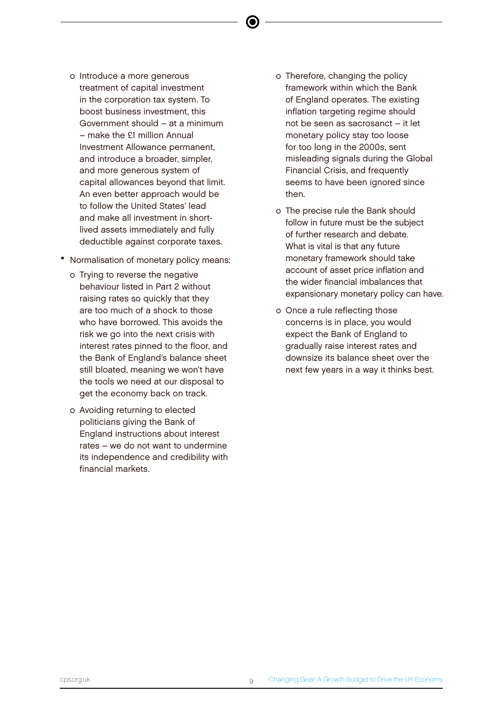- o Introduce a more generous treatment of capital investment in the corporation tax system. To boost business investment, this Government should – at a minimum – make the £1 million Annual Investment Allowance permanent, and introduce a broader, simpler, and more generous system of capital allowances beyond that limit. An even better approach would be to follow the United States' lead and make all investment in shortlived assets immediately and fully deductible against corporate taxes.
- Normalisation of monetary policy means:
	- o Trying to reverse the negative behaviour listed in Part 2 without raising rates so quickly that they are too much of a shock to those who have borrowed. This avoids the risk we go into the next crisis with interest rates pinned to the floor, and the Bank of England's balance sheet still bloated, meaning we won't have the tools we need at our disposal to get the economy back on track.
	- o Avoiding returning to elected politicians giving the Bank of England instructions about interest rates – we do not want to undermine its independence and credibility with financial markets.
- o Therefore, changing the policy framework within which the Bank of England operates. The existing inflation targeting regime should not be seen as sacrosanct – it let monetary policy stay too loose for too long in the 2000s, sent misleading signals during the Global Financial Crisis, and frequently seems to have been ignored since then.
- o The precise rule the Bank should follow in future must be the subject of further research and debate. What is vital is that any future monetary framework should take account of asset price inflation and the wider financial imbalances that expansionary monetary policy can have.
- o Once a rule reflecting those concerns is in place, you would expect the Bank of England to gradually raise interest rates and downsize its balance sheet over the next few years in a way it thinks best.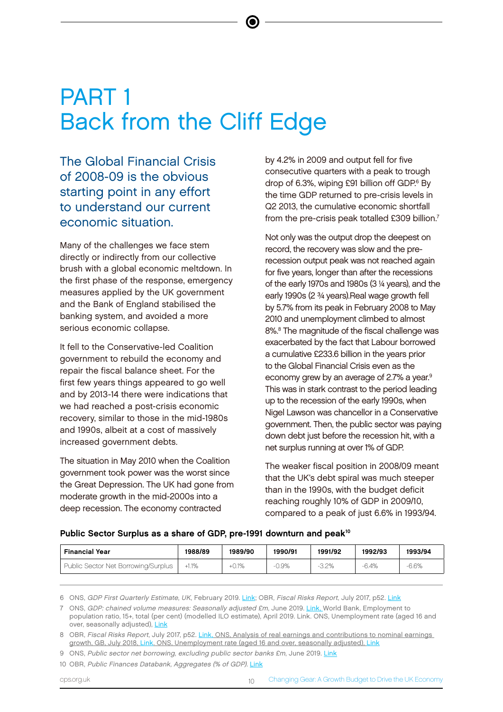# PART 1 Back from the Cliff Edge

The Global Financial Crisis of 2008-09 is the obvious starting point in any effort to understand our current economic situation.

Many of the challenges we face stem directly or indirectly from our collective brush with a global economic meltdown. In the first phase of the response, emergency measures applied by the UK government and the Bank of England stabilised the banking system, and avoided a more serious economic collapse.

It fell to the Conservative-led Coalition government to rebuild the economy and repair the fiscal balance sheet. For the first few years things appeared to go well and by 2013-14 there were indications that we had reached a post-crisis economic recovery, similar to those in the mid-1980s and 1990s, albeit at a cost of massively increased government debts.

The situation in May 2010 when the Coalition government took power was the worst since the Great Depression. The UK had gone from moderate growth in the mid-2000s into a deep recession. The economy contracted

by 4.2% in 2009 and output fell for five consecutive quarters with a peak to trough drop of 6.3%, wiping £91 billion off GDP.<sup>6</sup> By the time GDP returned to pre-crisis levels in Q2 2013, the cumulative economic shortfall from the pre-crisis peak totalled £309 billion.<sup>7</sup>

Not only was the output drop the deepest on record, the recovery was slow and the prerecession output peak was not reached again for five years, longer than after the recessions of the early 1970s and 1980s (3 ¼ years), and the early 1990s (2 ¾ years).Real wage growth fell by 5.7% from its peak in February 2008 to May 2010 and unemployment climbed to almost 8%.<sup>8</sup> The magnitude of the fiscal challenge was exacerbated by the fact that Labour borrowed a cumulative £233.6 billion in the years prior to the Global Financial Crisis even as the economy grew by an average of 2.7% a year.<sup>9</sup> This was in stark contrast to the period leading up to the recession of the early 1990s, when Nigel Lawson was chancellor in a Conservative government. Then, the public sector was paying down debt just before the recession hit, with a net surplus running at over 1% of GDP.

The weaker fiscal position in 2008/09 meant that the UK's debt spiral was much steeper than in the 1990s, with the budget deficit reaching roughly 10% of GDP in 2009/10, compared to a peak of just 6.6% in 1993/94.

Public Sector Surplus as a share of GDP, pre-1991 downturn and peak<sup>10</sup>

| <b>Financial Year</b>               | 1988/89 | 1989/90 | 1990/91 | 1991/92 | 1992/93 | 1993/94 |
|-------------------------------------|---------|---------|---------|---------|---------|---------|
| Public Sector Net Borrowing/Surplus | $+1.1%$ | $+0.1%$ | 0.9%    | 3.2%    | $-6.4%$ | 6.6%    |

6 ONS, GDP First Quarterly Estimate, UK, February 2019. [Link](https://www.ons.gov.uk/economy/grossdomesticproductgdp/bulletins/gdpfirstquarterlyestimateuk/octobertodecember2018); OBR, Fiscal Risks Report, July 2017, p52. [Link](https://cdn.obr.uk/July_2017_Fiscal_risks.pdf)

7 ONS, GDP: chained volume measures: Seasonally adjusted £m, June 2019. [Link](https://www.ons.gov.uk/economy/grossdomesticproductgdp/timeseries/abmi/qna), World Bank, Employment to population ratio, 15+, total (per cent) (modelled ILO estimate), April 2019. Link. ONS, Unemployment rate (aged 16 and over, seasonally adjusted), [Link](https://www.ons.gov.uk/employmentandlabourmarket/peoplenotinwork/unemployment/timeseries/mgsx)

<sup>8</sup> OBR, Fiscal Risks Report, July 2017, p52. [Link,](https://cdn.obr.uk/July_2017_Fiscal_risks.pdf) ONS, Analysis of real earnings and contributions to nominal earnings growth, GB, July 2018, [Link.](https://www.ons.gov.uk/employmentandlabourmarket/peopleinwork/earningsandworkinghours/articles/supplementaryanalysisofaverageweeklyearnings/july2018) ONS, Unemployment rate (aged 16 and over, seasonally adjusted), [Link](https://www.ons.gov.uk/employmentandlabourmarket/peoplenotinwork/unemployment/timeseries/mgsx)

<sup>9</sup> ONS, Public sector net borrowing, excluding public sector banks £m, June 2019. [Link](https://www.ons.gov.uk/economy/governmentpublicsectorandtaxes/publicsectorfinance/timeseries/dzls/pusf)

<sup>10</sup> OBR, Public Finances Databank, Aggregates (% of GDP). [Link](https://obr.uk/data/)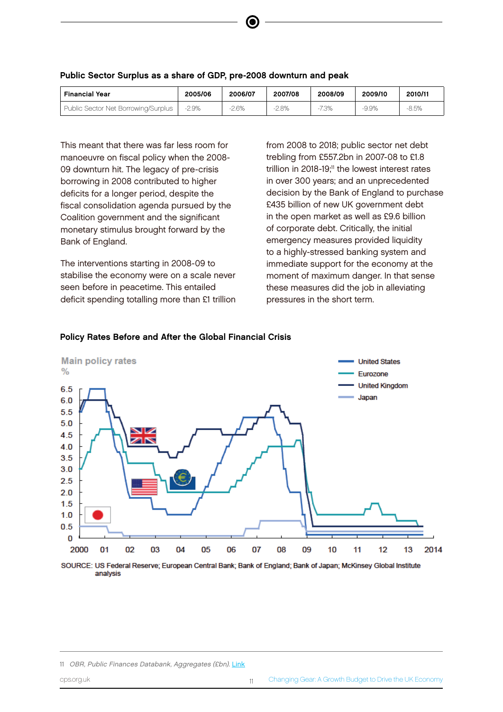| <b>Financial Year</b>               | 2005/06  | 2006/07 | 2007/08 | 2008/09 | 2009/10 | 2010/11 |
|-------------------------------------|----------|---------|---------|---------|---------|---------|
| Public Sector Net Borrowing/Surplus | $-2.9\%$ | $-2.6%$ | $2.8\%$ | 7.3%    | $-9.9%$ | $-8.5%$ |

e

#### Public Sector Surplus as a share of GDP, pre-2008 downturn and peak

This meant that there was far less room for manoeuvre on fiscal policy when the 2008- 09 downturn hit. The legacy of pre-crisis borrowing in 2008 contributed to higher deficits for a longer period, despite the fiscal consolidation agenda pursued by the Coalition government and the significant monetary stimulus brought forward by the Bank of England.

The interventions starting in 2008-09 to stabilise the economy were on a scale never seen before in peacetime. This entailed deficit spending totalling more than £1 trillion from 2008 to 2018; public sector net debt trebling from £557.2bn in 2007-08 to £1.8 trillion in 2018-19;<sup>11</sup> the lowest interest rates in over 300 years; and an unprecedented decision by the Bank of England to purchase £435 billion of new UK government debt in the open market as well as £9.6 billion of corporate debt. Critically, the initial emergency measures provided liquidity to a highly-stressed banking system and immediate support for the economy at the moment of maximum danger. In that sense these measures did the job in alleviating pressures in the short term.



#### Policy Rates Before and After the Global Financial Crisis

SOURCE: US Federal Reserve; European Central Bank; Bank of England; Bank of Japan; McKinsey Global Institute analysis

<sup>11</sup> OBR, Public Finances Databank, Aggregates (£bn). [Link](https://obr.uk/data/)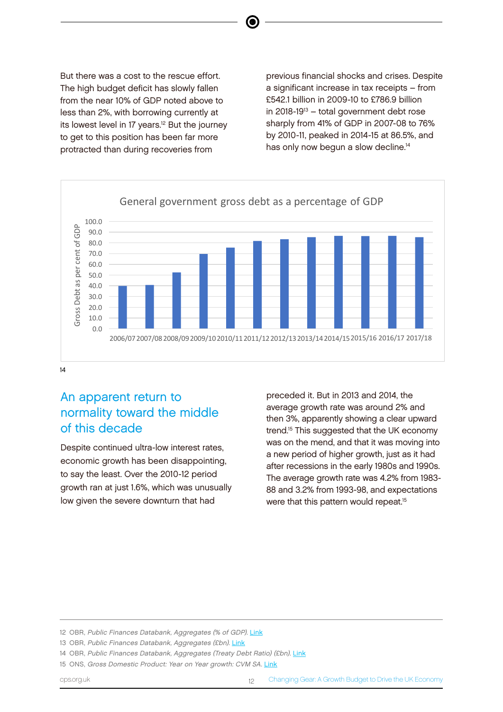But there was a cost to the rescue effort. The high budget deficit has slowly fallen from the near 10% of GDP noted above to less than 2%, with borrowing currently at its lowest level in 17 years.<sup>12</sup> But the journey to get to this position has been far more protracted than during recoveries from

previous financial shocks and crises. Despite a significant increase in tax receipts – from £542.1 billion in 2009-10 to £786.9 billion in 2018-19 $13 -$  total government debt rose sharply from 41% of GDP in 2007-08 to 76% by 2010-11, peaked in 2014-15 at 86.5%, and has only now begun a slow decline.<sup>14</sup>



e

#### 14

# An apparent return to normality toward the middle of this decade

Despite continued ultra-low interest rates, economic growth has been disappointing, to say the least. Over the 2010-12 period growth ran at just 1.6%, which was unusually low given the severe downturn that had

preceded it. But in 2013 and 2014, the average growth rate was around 2% and then 3%, apparently showing a clear upward trend.<sup>15</sup> This suggested that the UK economy was on the mend, and that it was moving into a new period of higher growth, just as it had after recessions in the early 1980s and 1990s. The average growth rate was 4.2% from 1983- 88 and 3.2% from 1993-98, and expectations were that this pattern would repeat.<sup>15</sup>



#### UK GDP growth year on year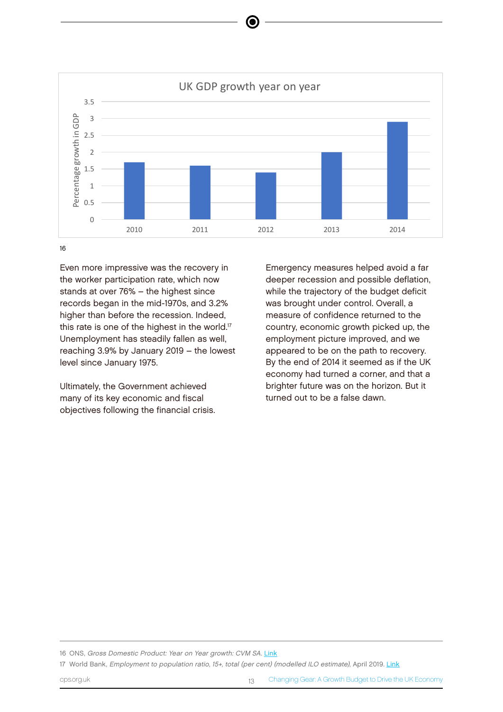

e

16

Even more impressive was the recovery in the worker participation rate, which now deeper stands at over 76% – the highest since **While** the **While** records began in the mid-1970s, and 3.2% higher than before the recession. Indeed, this rate is one of the highest in the world.<sup>17</sup> Unemployment has steadily fallen as well, reaching 3.9% by January 2019 – the lowest level since January 1975.

Ultimately, the Government achieved many of its key economic and fiscal objectives following the financial crisis.

Emergency measures helped avoid a far deeper recession and possible deflation, while the trajectory of the budget deficit was brought under control. Overall, a measure of confidence returned to the country, economic growth picked up, the employment picture improved, and we appeared to be on the path to recovery. By the end of 2014 it seemed as if the UK economy had turned a corner, and that a brighter future was on the horizon. But it turned out to be a false dawn.

16 ONS, Gross Domestic Product: Year on Year growth: CVM SA. [Link](https://www.ons.gov.uk/economy/grossdomesticproductgdp/timeseries/ihyp/pn2)

17 World Bank, Employment to population ratio, 15+, total (per cent) (modelled ILO estimate), April 2019. [Link](https://data.worldbank.org/indicator/SL.EMP.TOTL.SP.ZS?end=2017&locations=GB-US-FR-DE-EU&start=2007)

cps.org.uk Changing Gear: A Growth Budget to Drive the UK Economy 13 Changing Gear: A Growth Budget to Drive the UK Economy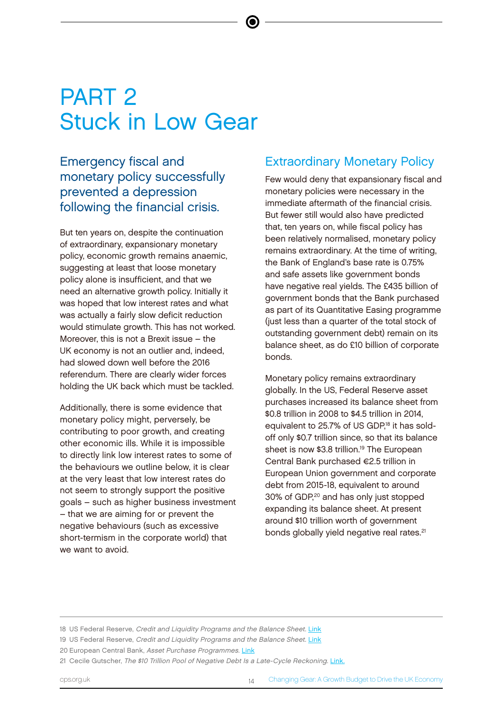# PART 2 Stuck in Low Gear

Emergency fiscal and monetary policy successfully prevented a depression following the financial crisis.

But ten years on, despite the continuation of extraordinary, expansionary monetary policy, economic growth remains anaemic, suggesting at least that loose monetary policy alone is insufficient, and that we need an alternative growth policy. Initially it was hoped that low interest rates and what was actually a fairly slow deficit reduction would stimulate growth. This has not worked. Moreover, this is not a Brexit issue – the UK economy is not an outlier and, indeed, had slowed down well before the 2016 referendum. There are clearly wider forces holding the UK back which must be tackled.

Additionally, there is some evidence that monetary policy might, perversely, be contributing to poor growth, and creating other economic ills. While it is impossible to directly link low interest rates to some of the behaviours we outline below, it is clear at the very least that low interest rates do not seem to strongly support the positive goals – such as higher business investment – that we are aiming for or prevent the negative behaviours (such as excessive short-termism in the corporate world) that we want to avoid.

### Extraordinary Monetary Policy

Few would deny that expansionary fiscal and monetary policies were necessary in the immediate aftermath of the financial crisis. But fewer still would also have predicted that, ten years on, while fiscal policy has been relatively normalised, monetary policy remains extraordinary. At the time of writing, the Bank of England's base rate is 0.75% and safe assets like government bonds have negative real yields. The £435 billion of government bonds that the Bank purchased as part of its Quantitative Easing programme (just less than a quarter of the total stock of outstanding government debt) remain on its balance sheet, as do £10 billion of corporate bonds.

Monetary policy remains extraordinary globally. In the US, Federal Reserve asset purchases increased its balance sheet from \$0.8 trillion in 2008 to \$4.5 trillion in 2014, equivalent to 25.7% of US GDP,<sup>18</sup> it has soldoff only \$0.7 trillion since, so that its balance sheet is now \$3.8 trillion.<sup>19</sup> The European Central Bank purchased €2.5 trillion in European Union government and corporate debt from 2015-18, equivalent to around 30% of GDP,<sup>20</sup> and has only just stopped expanding its balance sheet. At present around \$10 trillion worth of government bonds globally yield negative real rates.<sup>21</sup>

19 US Federal Reserve, Credit and Liquidity Programs and the Balance Sheet. [Link](https://www.federalreserve.gov/monetarypolicy/bst_recenttrends.htm)

<sup>18</sup> US Federal Reserve, Credit and Liquidity Programs and the Balance Sheet. [Link](https://www.federalreserve.gov/monetarypolicy/bst_recenttrends.htm)

<sup>20</sup> European Central Bank, Asset Purchase Programmes. [Link](https://www.ecb.europa.eu/mopo/implement/omt/html/index.en.html)

<sup>21</sup> Cecile Gutscher, The \$10 Trillion Pool of Negative Debt Is a Late-Cycle Reckoning. [Link.](https://www.bloomberg.com/news/articles/2019-03-25/the-10-trillion-pool-of-negative-debt-is-a-late-cycle-reckoning)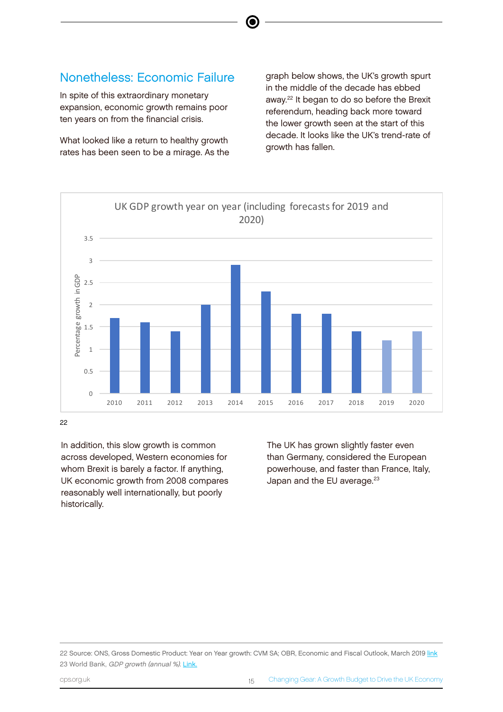### Nonetheless: Economic Failure

In spite of this extraordinary monetary expansion, economic growth remains poor ten years on from the financial crisis.

What looked like a return to healthy growth rates has been seen to be a mirage. As the graph below shows, the UK's growth spurt in the middle of the decade has ebbed away.<sup>22</sup> It began to do so before the Brexit referendum, heading back more toward the lower growth seen at the start of this decade. It looks like the UK's trend-rate of growth has fallen.



G

In addition, this slow growth is common across developed, Western economies for across developed, western economy ( $\chi$  GDP growth year pointed, year UK economic growth from 2008 compares reasonably well internationally, but poorly historically. 3

The UK has grown slightly faster even than Germany, considered the European powerhouse, and faster than France, Italy, Japan and the EU average.<sup>23</sup>

0.5 1 1.5 2 2.5 Percentage growth in GDP

22 Source: ONS, Gross Domestic Product: Year on Year growth: CVM SA; OBR, Economic and Fiscal Outlook, March 2019 [link](https://obr.uk/efo/economic-fiscal-outlook-march-2019/) 2010<br>23 World Bank, GDP growth (annual %). [Link.](https://data.worldbank.org/indicator/NY.GDP.MKTP.KD.ZG?end=2017&locations=DE-FR-GB-US-EU&start=1995)  $2012$  2011 2011 2012 2013 2014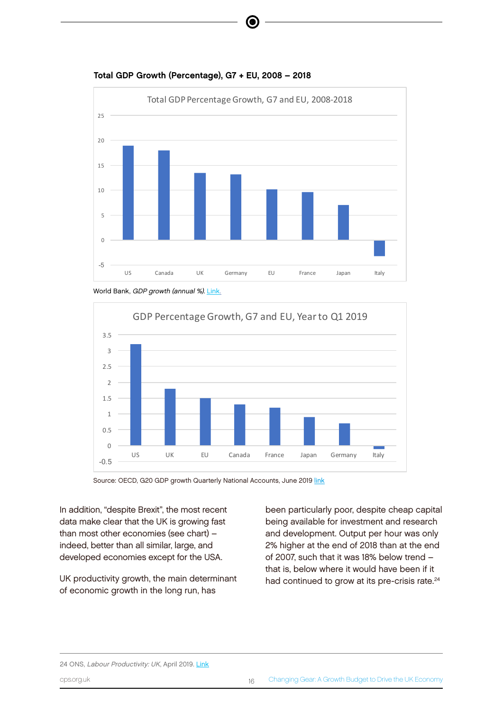

Total GDP Growth (Percentage), G7 + EU, 2008 – 2018







Source: OECD, G20 GDP growth Quarterly National Accounts, June 2019 [link](https://www.oecd.org/sdd/na/g20-gdp-growth-Q1-2019.pdf)

In addition, cobspite Brexit", the most recent and EU, 2008-2018 data make clear that the UK is growing fast than most other economies (see chart) – indeed, better than all similar, large, and developed economies except for the USA.

UK productivity growth, the main determinant of economic growth in the long run, has

15

20

25

been particularly poor, despite cheap capital being available for investment and research and development. Output per hour was only 2% higher at the end of 2018 than at the end of 2007, such that it was 18% below trend – that is, below where it would have been if it had continued to grow at its pre-crisis rate.<sup>24</sup>

3 10 ercentage growth in GDP ercentage growth in GDP 2.5 5 2 24 ONS, Labour Productivity: UK, April 2019. [Link](https://www.ons.gov.uk/employmentandlabourmarket/peopleinwork/labourproductivity/bulletins/labourproductivity/octobertodecember2018) 0 cps.org.uk Changing Gear: A Growth Budget to Drive the UK Economy 16 and 16 and 16 and 16 and 16 and 16 and 16  $\pm$ 1.5 -5 1 US Canada UK Germany EU France Japan Italy

2010 2011 2012 2013 2014 2015 2016 2017 2018 2019 2020

 $\overline{0}$ 

3.5

1

2

3

3.5

**UKG** 

0.5

1

1.5

Percentage growth in GDP

growth

in GDP

 $\overline{2}$ 

2.5

3

3.5

0

2010 2011 2012 2013 2014 2015 2016 2017 2018 2019 2020

 $UKG$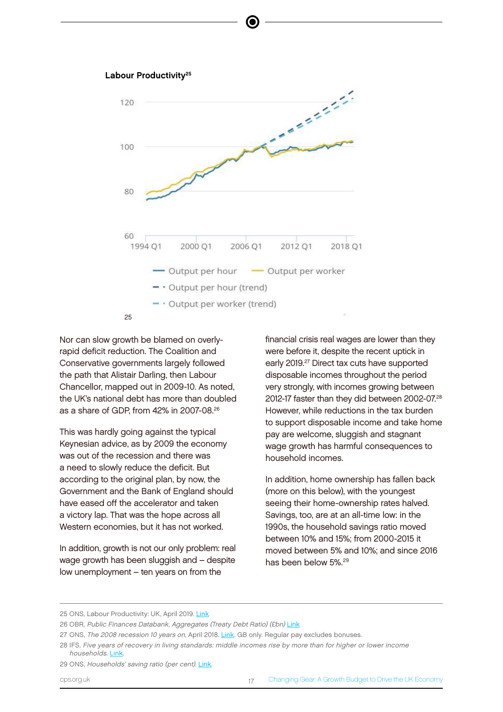



Nor can slow growth be blamed on overlyrapid deficit reduction. The Coalition and Conservative governments largely followed the path that Alistair Darling, then Labour Chancellor, mapped out in 2009-10. As noted, the UK's national debt has more than doubled as a share of GDP, from 42% in 2007-08.<sup>26</sup>

This was hardly going against the typical  $\frac{2}{3}$ Keynesian advice, as by 2009 the economy was out of the recession and there was a need to slowly reduce the deficit. But according to the original plan, by now, the Government and the Bank of England should have eased off the accelerator and taken a victory lap. That was the hope across all Western economies, but it has not worked.

In addition, growth is not our only problem: real wage growth has been sluggish and – despite low unemployment – ten years on from the

financial crisis real wages are lower than they were before it, despite the recent uptick in early 2019.<sup>27</sup> Direct tax cuts have supported disposable incomes throughout the period very strongly, with incomes growing between 2012-17 faster than they did between 2002-07.<sup>28</sup> However, while reductions in the tax burden to support disposable income and take home pay are welcome, sluggish and stagnant wage growth has harmful consequences to household incomes.

In addition, home ownership has fallen back (more on this below), with the youngest seeing their home-ownership rates halved. Savings, too, are at an all-time low: in the 1990s, the household savings ratio moved between 10% and 15%; from 2000-2015 it moved between 5% and 10%; and since 2016 has been below 5% 29

<sup>25</sup> ONS, Labour Productivity: UK, April 2019. [Link](https://www.ons.gov.uk/employmentandlabourmarket/peopleinwork/labourproductivity/bulletins/labourproductivity/octobertodecember2018)

<sup>26</sup> OBR, Public Finances Databank, Aggregates (Treaty Debt Ratio) (£bn) [Link](https://obr.uk/data/)

<sup>27</sup> ONS, The 2008 recession 10 years on, April 2018. [Link](https://www.ons.gov.uk/economy/grossdomesticproductgdp/articles/the2008recession10yearson/2018-04-30). GB only. Regular pay excludes bonuses.

<sup>28</sup> IFS, Five years of recovery in living standards: middle incomes rise by more than for higher or lower income households. [Link.](https://www.ifs.org.uk/uploads/BN228.pdf)

<sup>29</sup> ONS, Households' saving ratio (per cent). [Link](https://www.ons.gov.uk/economy/grossdomesticproductgdp/timeseries/dgd8/ukea).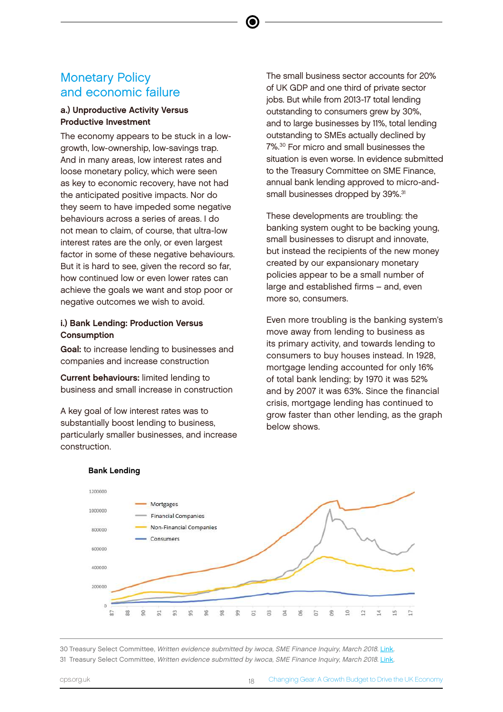## Monetary Policy and economic failure

#### a.) Unproductive Activity Versus Productive Investment

The economy appears to be stuck in a lowgrowth, low-ownership, low-savings trap. And in many areas, low interest rates and loose monetary policy, which were seen as key to economic recovery, have not had the anticipated positive impacts. Nor do they seem to have impeded some negative behaviours across a series of areas. I do not mean to claim, of course, that ultra-low interest rates are the only, or even largest factor in some of these negative behaviours. But it is hard to see, given the record so far, how continued low or even lower rates can achieve the goals we want and stop poor or negative outcomes we wish to avoid.

#### i.) Bank Lending: Production Versus Consumption

Goal: to increase lending to businesses and companies and increase construction

Current behaviours: limited lending to business and small increase in construction

A key goal of low interest rates was to substantially boost lending to business, particularly smaller businesses, and increase construction.

The small business sector accounts for 20% of UK GDP and one third of private sector jobs. But while from 2013-17 total lending outstanding to consumers grew by 30%, and to large businesses by 11%, total lending outstanding to SMEs actually declined by 7%.<sup>30</sup> For micro and small businesses the situation is even worse. In evidence submitted to the Treasury Committee on SME Finance, annual bank lending approved to micro-andsmall businesses dropped by 39%.<sup>31</sup>

These developments are troubling: the banking system ought to be backing young, small businesses to disrupt and innovate, but instead the recipients of the new money created by our expansionary monetary policies appear to be a small number of large and established firms – and, even more so, consumers.

Even more troubling is the banking system's move away from lending to business as its primary activity, and towards lending to consumers to buy houses instead. In 1928, mortgage lending accounted for only 16% of total bank lending; by 1970 it was 52% and by 2007 it was 63%. Since the financial crisis, mortgage lending has continued to grow faster than other lending, as the graph below shows.



<sup>30</sup> Treasury Select Committee, *Written evidence submitted by iwoca, SME Finance Inquiry, March 2018*. Link. 

#### Bank Lending

Commer **FOOTNO** 

CONOR?

30 Treasury Select Committee, Written evidence submitted by iwoca, SME Finance Inquiry, March 2018. [Link.](http://data.parliament.uk/writtenevidence/committeeevidence.svc/evidencedocument/treasury-committee/sme-finance/written/81034.pdf) 31 Treasury Select Committee, Written evidence submitted by iwoca, SME Finance Inquiry, March 2018. [Link.](http://data.parliament.uk/writtenevidence/committeeevidence.svc/evidencedocument/treasury-committee/sme-finance/written/81034.pdf)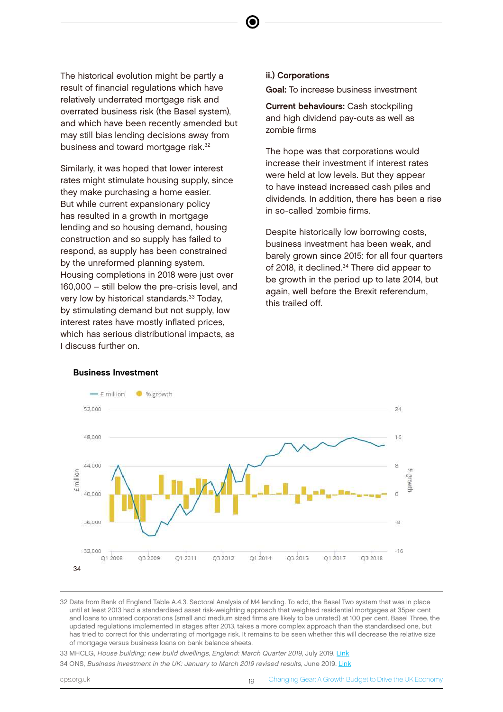The historical evolution might be partly a result of financial regulations which have relatively underrated mortgage risk and overrated business risk (the Basel system), and which have been recently amended but may still bias lending decisions away from business and toward mortgage risk.<sup>32</sup>

Similarly, it was hoped that lower interest rates might stimulate housing supply, since they make purchasing a home easier. But while current expansionary policy has resulted in a growth in mortgage lending and so housing demand, housing construction and so supply has failed to respond, as supply has been constrained by the unreformed planning system. Housing completions in 2018 were just over 160,000 – still below the pre-crisis level, and very low by historical standards.<sup>33</sup> Today, by stimulating demand but not supply, low interest rates have mostly inflated prices, which has serious distributional impacts, as I discuss further on.

#### ii.) Corporations

Goal: To increase business investment

Current behaviours: Cash stockpiling and high dividend pay-outs as well as zombie firms

The hope was that corporations would increase their investment if interest rates were held at low levels. But they appear to have instead increased cash piles and dividends. In addition, there has been a rise in so-called 'zombie firms.

Despite historically low borrowing costs, business investment has been weak, and barely grown since 2015: for all four quarters of 2018, it declined.<sup>34</sup> There did appear to be growth in the period up to late 2014, but again, well before the Brexit referendum, this trailed off.



#### Business Investment

32 Data from Bank of England Table A.4.3. Sectoral Analysis of M4 lending. To add, the Basel Two system that was in place until at least 2013 had a standardised asset risk-weighting approach that weighted residential mortgages at 35per cent and loans to unrated corporations (small and medium sized firms are likely to be unrated) at 100 per cent. Basel Three, the updated regulations implemented in stages after 2013, takes a more complex approach than the standardised one, but has tried to correct for this underrating of mortgage risk. It remains to be seen whether this will decrease the relative size of mortgage versus business loans on bank balance sheets.

33 MHCLG, House building; new build dwellings, England: March Quarter 2019, July 2019. [Link](https://assets.publishing.service.gov.uk/government/uploads/system/uploads/attachment_data/file/814487/House_Building_Release_March_2019.pdf)

34 ONS, Business investment in the UK: January to March 2019 revised results, June 2019. [Link](https://www.ons.gov.uk/economy/grossdomesticproductgdp/bulletins/businessinvestment/januarytomarch2019revisedresults)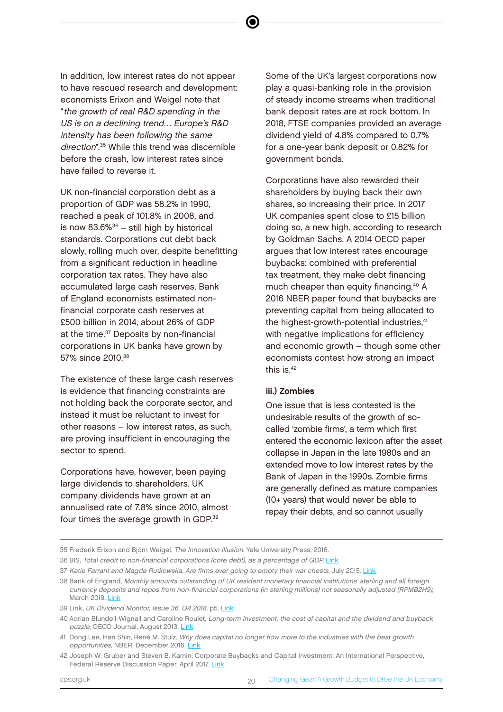In addition, low interest rates do not appear to have rescued research and development: economists Erixon and Weigel note that "the growth of real R&D spending in the US is on a declining trend… Europe's R&D intensity has been following the same direction".<sup>35</sup> While this trend was discernible before the crash, low interest rates since have failed to reverse it.

UK non-financial corporation debt as a proportion of GDP was 58.2% in 1990, reached a peak of 101.8% in 2008, and is now  $83.6\%$ <sup>36</sup> – still high by historical standards. Corporations cut debt back slowly, rolling much over, despite benefitting from a significant reduction in headline corporation tax rates. They have also accumulated large cash reserves. Bank of England economists estimated nonfinancial corporate cash reserves at £500 billion in 2014, about 26% of GDP at the time.<sup>37</sup> Deposits by non-financial corporations in UK banks have grown by 57% since 2010<sup>38</sup>

The existence of these large cash reserves is evidence that financing constraints are not holding back the corporate sector, and instead it must be reluctant to invest for other reasons – low interest rates, as such, are proving insufficient in encouraging the sector to spend.

Corporations have, however, been paying large dividends to shareholders. UK company dividends have grown at an annualised rate of 7.8% since 2010, almost four times the average growth in GDP.39

Some of the UK's largest corporations now play a quasi-banking role in the provision of steady income streams when traditional bank deposit rates are at rock bottom. In 2018, FTSE companies provided an average dividend yield of 4.8% compared to 0.7% for a one-year bank deposit or 0.82% for government bonds.

Corporations have also rewarded their shareholders by buying back their own shares, so increasing their price. In 2017 UK companies spent close to £15 billion doing so, a new high, according to research by Goldman Sachs. A 2014 OECD paper argues that low interest rates encourage buybacks: combined with preferential tax treatment, they make debt financing much cheaper than equity financing.<sup>40</sup> A 2016 NBER paper found that buybacks are preventing capital from being allocated to the highest-growth-potential industries,<sup>41</sup> with negative implications for efficiency and economic growth – though some other economists contest how strong an impact this is.<sup>42</sup>

#### iii.) Zombies

One issue that is less contested is the undesirable results of the growth of socalled 'zombie firms', a term which first entered the economic lexicon after the asset collapse in Japan in the late 1980s and an extended move to low interest rates by the Bank of Japan in the 1990s. Zombie firms are generally defined as mature companies (10+ years) that would never be able to repay their debts, and so cannot usually

<sup>35</sup> Frederik Erixon and Björn Weigel, The Innovation Illusion. Yale University Press, 2016.

<sup>36</sup> BIS, Total credit to non-financial corporations (core debt), as a percentage of GDP. [Link](https://stats.bis.org/statx/srs/table/f4.1)

<sup>37</sup> Katie Farrant and Magda Rutkowska, Are firms ever going to empty their war chests, July 2015. [Link](https://bankunderground.co.uk/2015/07/24/are-firms-ever-going-to-empty-their-war-chests/)

<sup>38</sup> Bank of England, Monthly amounts outstanding of UK resident monetary financial institutions' sterling and all foreign currency deposits and repos from non-financial corporations (in sterling millions) not seasonally adjusted (RPMB2H9), March 2019. [Link](https://www.bankofengland.co.uk/boeapps/database/fromshowcolumns.asp?Travel=NIxAZxSUx&FromSeries=1&ToSeries=50&DAT=RNG&FD=1&FM=Jan&FY=2010&TD=11&TM=May&TY=2025&FNY=Y&CSVF=TT&html.x=66&html.y=26&SeriesCodes=RPMB2H9&UsingCodes=Y&Filter=N&title=RPMB2H9&VPD=Y)

<sup>39</sup> Link, UK Dividend Monitor, Issue 36, Q4 2018, p5. [Link](https://www.linkassetservices.com/file.axd?pointerid=5c48a2118bcbe70e4068f57b&DocumentName=UK%20Dividend%20Monitor%20Q4%202018.PDF)

<sup>40</sup> Adrian Blundell-Wignall and Caroline Roulet, Long-term investment, the cost of capital and the dividend and buyback puzzle, OECD Journal, August 2013. [Link](https://www.oecd-ilibrary.org/content/paper/fmt-2013-5k41z8t05l8s)

<sup>41</sup> Dong Lee, Han Shin, René M. Stulz, Why does capital no longer flow more to the industries with the best growth opportunities, NBER, December 2016. [Link](https://www.nber.org/papers/w22924.pdf)

<sup>42</sup> Joseph W. Gruber and Steven B. Kamin, Corporate Buybacks and Capital Investment: An International Perspective, Federal Reserve Discussion Paper, April 2017. [Link](https://www.federalreserve.gov/econres/notes/ifdp-notes/corporate-buybacks-and-capital-investment-an-international-perspective-20170411.pdf)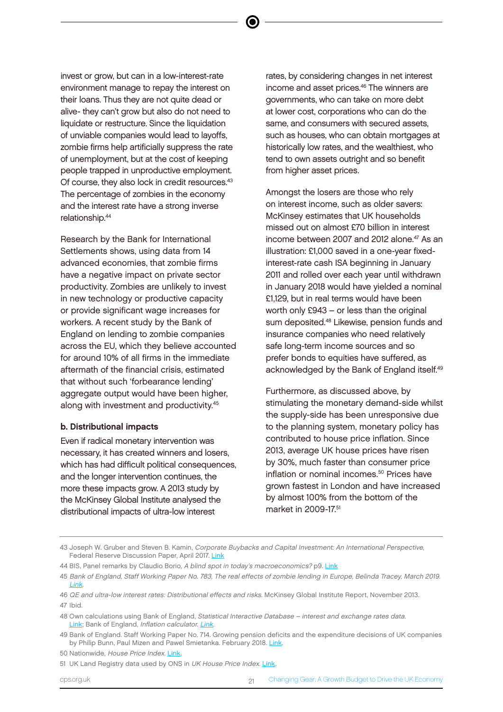invest or grow, but can in a low-interest-rate environment manage to repay the interest on their loans. Thus they are not quite dead or alive- they can't grow but also do not need to liquidate or restructure. Since the liquidation of unviable companies would lead to layoffs, zombie firms help artificially suppress the rate of unemployment, but at the cost of keeping people trapped in unproductive employment. Of course, they also lock in credit resources.<sup>43</sup> The percentage of zombies in the economy and the interest rate have a strong inverse relationship.<sup>44</sup>

Research by the Bank for International Settlements shows, using data from 14 advanced economies, that zombie firms have a negative impact on private sector productivity. Zombies are unlikely to invest in new technology or productive capacity or provide significant wage increases for workers. A recent study by the Bank of England on lending to zombie companies across the EU, which they believe accounted for around 10% of all firms in the immediate aftermath of the financial crisis, estimated that without such 'forbearance lending' aggregate output would have been higher, along with investment and productivity.<sup>45</sup>

#### b. Distributional impacts

Even if radical monetary intervention was necessary, it has created winners and losers, which has had difficult political consequences, and the longer intervention continues, the more these impacts grow. A 2013 study by the McKinsey Global Institute analysed the distributional impacts of ultra-low interest

rates, by considering changes in net interest income and asset prices.<sup>46</sup> The winners are governments, who can take on more debt at lower cost, corporations who can do the same, and consumers with secured assets, such as houses, who can obtain mortgages at historically low rates, and the wealthiest, who tend to own assets outright and so benefit from higher asset prices.

Amongst the losers are those who rely on interest income, such as older savers: McKinsey estimates that UK households missed out on almost £70 billion in interest income between 2007 and 2012 alone.<sup>47</sup> As an illustration: £1,000 saved in a one-year fixedinterest-rate cash ISA beginning in January 2011 and rolled over each year until withdrawn in January 2018 would have yielded a nominal £1,129, but in real terms would have been worth only  $£943 - or$  less than the original sum deposited.<sup>48</sup> Likewise, pension funds and insurance companies who need relatively safe long-term income sources and so prefer bonds to equities have suffered, as acknowledged by the Bank of England itself.<sup>49</sup>

Furthermore, as discussed above, by stimulating the monetary demand-side whilst the supply-side has been unresponsive due to the planning system, monetary policy has contributed to house price inflation. Since 2013, average UK house prices have risen by 30%, much faster than consumer price inflation or nominal incomes.<sup>50</sup> Prices have grown fastest in London and have increased by almost 100% from the bottom of the market in 2009-17.<sup>51</sup>

cps.org.uk 21 Changing Gear: A Growth Budget to Drive the UK Economy

<sup>43</sup> Joseph W. Gruber and Steven B. Kamin, Corporate Buybacks and Capital Investment: An International Perspective, Federal Reserve Discussion Paper, April 2017. [Link](https://www.federalreserve.gov/econres/notes/ifdp-notes/corporate-buybacks-and-capital-investment-an-international-perspective-20170411.pdf)

<sup>44</sup> BIS, Panel remarks by Claudio Borio, A blind spot in today's macroeconomics? p9. [Link](https://www.bis.org/speeches/sp180110.pdf)

<sup>45</sup> Bank of England, Staff Working Paper No. 783, The real effects of zombie lending in Europe, Belinda Tracey, March 2019. [Link.](https://www.bankofengland.co.uk/-/media/boe/files/working-paper/2019/the-real-effects-of-zombie-lending-in-europe)

<sup>46</sup> QE and ultra-low interest rates: Distributional effects and risks. McKinsey Global Institute Report, November 2013. 47 Ibid.

<sup>48</sup> Own calculations using Bank of England, Statistical Interactive Database – interest and exchange rates data. [Link](http://www.bankofengland.co.uk/boeapps/iadb/index.asp?first=yes&SectionRequired=I&HideNums=-1&ExtraInfo=true&Travel=NIxIRx); Bank of England, Inflation calculator. [Link](https://www.bankofengland.co.uk/monetary-policy/inflation/inflation-calculator).

<sup>49</sup> Bank of England. Staff Working Paper No. 714. Growing pension deficits and the expenditure decisions of UK companies by Philip Bunn, Paul Mizen and Pawel Smietanka. February 2018. [Link.](https://www.bankofengland.co.uk/-/media/boe/files/working-paper/2018/growing-pension-deficits-and-the-expenditure-decisions-of-uk-companies)

<sup>50</sup> Nationwide, House Price Index. [Link.](https://www.nationwide.co.uk/about/house-price-index/download-data#%5D)

<sup>51</sup> UK Land Registry data used by ONS in UK House Price Index. [Link.](https://www.ons.gov.uk/economy/inflationandpriceindices/bulletins/housepriceindex/march2019)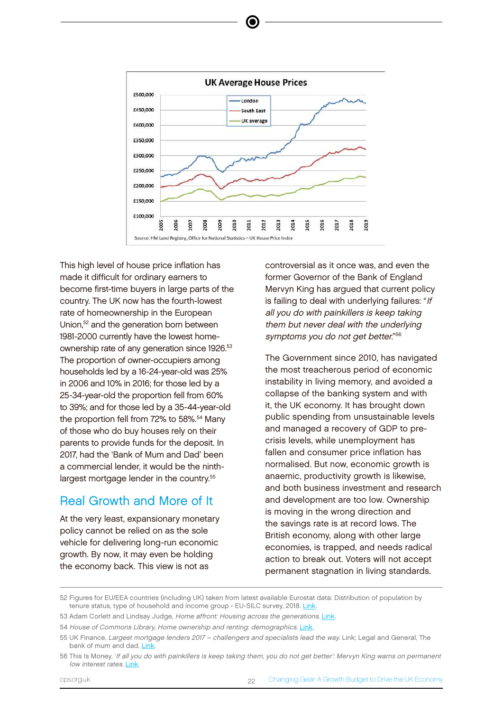

This high level of house price inflation has made it difficult for ordinary earners to become first-time buyers in large parts of the country. The UK now has the fourth-lowest rate of homeownership in the European Union,<sup>52</sup> and the generation born between 1981-2000 currently have the lowest homecomparies by philophilip Taulo and Paul Companies and Paul Companies of any generation since 1926.<sup>53</sup> The proportion of owner-occupiers among The households led by a 16-24-year-old was 25% \_\_\_\_\_\_\_\_\_ the most treacherous in 2006 and 10% in 2016; for those led by a 25-34-year-old the proportion fell from 60% to 39%; and for those led by a 35-44-year-old the proportion fell from 72% to 58%.<sup>54</sup> Many of those who do buy houses rely on their parents to provide funds for the deposit. In 2017, had the 'Bank of Mum and Dad' been a commercial lender, it would be the ninthlargest mortgage lender in the country.<sup>55</sup>  $52.2$  Figures  $\frac{1}{2}$  and  $\frac{1}{2}$  and  $\frac{1}{2}$  are  $\frac{1}{2}$  and  $\frac{1}{2}$  and  $\frac{1}{2}$  and  $\frac{1}{2}$  and  $\frac{1}{2}$  and  $\frac{1}{2}$  and  $\frac{1}{2}$  and  $\frac{1}{2}$  and  $\frac{1}{2}$  and  $\frac{1}{2}$  and  $\frac{1}{2}$  and  $\frac{1}{2}$ 

### Real Growth and More of It

At the very least, expansionary monetary policy cannot be relied on as the sole vehicle for delivering long-run economic growth. By now, it may even be holding the economy back. This view is not as

controversial as it once was, and even the former Governor of the Bank of England Mervyn King has argued that current policy is failing to deal with underlying failures: "If all you do with painkillers is keep taking them but never deal with the underlying ly have the lowest home- symptoms you do not get better."<sup>56</sup>

The Government since 2010, has navigated the most treacherous period of economic f in 2016: for those led by a **home interpretive in** ling memory, and avoided a collapse of the banking system and with it, the UK economy. It has brought down public spending from unsustainable levels and managed a recovery of GDP to precrisis levels, while unemployment has fallen and consumer price inflation has normalised. But now, economic growth is anaemic, productivity growth is likewise, and both business investment and research and development are too low. Ownership is moving in the wrong direction and the savings rate is at record lows. The British economy, along with other large economies, is trapped, and needs radical action to break out. Voters will not accept permanent stagnation in living standards.

<sup>52</sup> Figures for EU/EEA countries (including UK) taken from latest available Eurostat data: Distribution of population by tenure status, type of household and income group - EU-SILC survey, 2018. [Link.](http://appsso.eurostat.ec.europa.eu/nui/show.do?dataset=ilc_lvho02&lang=en)

<sup>53</sup> Adam Corlett and Lindsay Judge, Home affront: Housing across the generations. [Link](https://www.resolutionfoundation.org/app/uploads/2017/09/Home-Affront.pdf).

<sup>54</sup> House of Commons Library, Home ownership and renting: demographics. [Link](http://researchbriefings.files.parliament.uk/documents/CBP-7706/CBP-7706.pdf).

<sup>55</sup> UK Finance, Largest mortgage lenders 2017 – challengers and specialists lead the way. Link; Legal and General, The bank of mum and dad. [Link](https://www.ukfinance.org.uk/blogs/largest-mortgage-lenders-2017-%E2%80%93-challengers-and-specialists-lead-way).

<sup>56</sup> This Is Money, 'If all you do with painkillers is keep taking them, you do not get better': Mervyn King warns on permanent low interest rates. [Link.](https://www.thisismoney.co.uk/money/news/article-3479159/It-sensible-cut-rates-says-Mervyn-King-warns-painkiller-immune.html)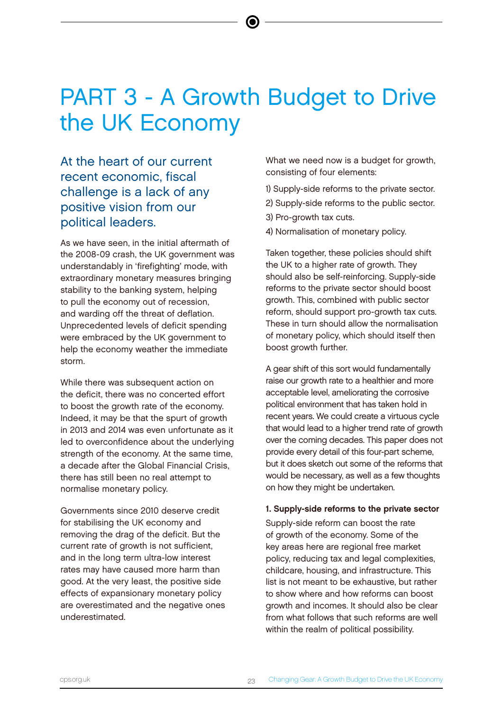# PART 3 - A Growth Budget to Drive the UK Economy

(⊜

At the heart of our current recent economic, fiscal challenge is a lack of any positive vision from our political leaders.

As we have seen, in the initial aftermath of the 2008-09 crash, the UK government was understandably in 'firefighting' mode, with extraordinary monetary measures bringing stability to the banking system, helping to pull the economy out of recession, and warding off the threat of deflation. Unprecedented levels of deficit spending were embraced by the UK government to help the economy weather the immediate storm.

While there was subsequent action on the deficit, there was no concerted effort to boost the growth rate of the economy. Indeed, it may be that the spurt of growth in 2013 and 2014 was even unfortunate as it led to overconfidence about the underlying strength of the economy. At the same time, a decade after the Global Financial Crisis, there has still been no real attempt to normalise monetary policy.

Governments since 2010 deserve credit for stabilising the UK economy and removing the drag of the deficit. But the current rate of growth is not sufficient, and in the long term ultra-low interest rates may have caused more harm than good. At the very least, the positive side effects of expansionary monetary policy are overestimated and the negative ones underestimated.

What we need now is a budget for growth, consisting of four elements:

- 1) Supply-side reforms to the private sector.
- 2) Supply-side reforms to the public sector.
- 3) Pro-growth tax cuts.
- 4) Normalisation of monetary policy.

Taken together, these policies should shift the UK to a higher rate of growth. They should also be self-reinforcing. Supply-side reforms to the private sector should boost growth. This, combined with public sector reform, should support pro-growth tax cuts. These in turn should allow the normalisation of monetary policy, which should itself then boost growth further.

A gear shift of this sort would fundamentally raise our growth rate to a healthier and more acceptable level, ameliorating the corrosive political environment that has taken hold in recent years. We could create a virtuous cycle that would lead to a higher trend rate of growth over the coming decades. This paper does not provide every detail of this four-part scheme, but it does sketch out some of the reforms that would be necessary, as well as a few thoughts on how they might be undertaken.

#### 1. Supply-side reforms to the private sector

Supply-side reform can boost the rate of growth of the economy. Some of the key areas here are regional free market policy, reducing tax and legal complexities, childcare, housing, and infrastructure. This list is not meant to be exhaustive, but rather to show where and how reforms can boost growth and incomes. It should also be clear from what follows that such reforms are well within the realm of political possibility.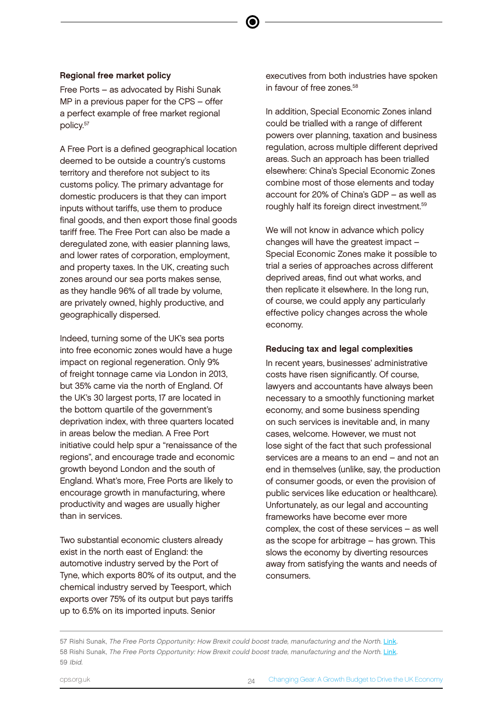#### Regional free market policy

Free Ports – as advocated by Rishi Sunak MP in a previous paper for the CPS – offer a perfect example of free market regional policy.<sup>57</sup>

A Free Port is a defined geographical location deemed to be outside a country's customs territory and therefore not subject to its customs policy. The primary advantage for domestic producers is that they can import inputs without tariffs, use them to produce final goods, and then export those final goods tariff free. The Free Port can also be made a deregulated zone, with easier planning laws, and lower rates of corporation, employment, and property taxes. In the UK, creating such zones around our sea ports makes sense, as they handle 96% of all trade by volume, are privately owned, highly productive, and geographically dispersed.

Indeed, turning some of the UK's sea ports into free economic zones would have a huge impact on regional regeneration. Only 9% of freight tonnage came via London in 2013, but 35% came via the north of England. Of the UK's 30 largest ports, 17 are located in the bottom quartile of the government's deprivation index, with three quarters located in areas below the median. A Free Port initiative could help spur a "renaissance of the regions", and encourage trade and economic growth beyond London and the south of England. What's more, Free Ports are likely to encourage growth in manufacturing, where productivity and wages are usually higher than in services.

Two substantial economic clusters already exist in the north east of England: the automotive industry served by the Port of Tyne, which exports 80% of its output, and the chemical industry served by Teesport, which exports over 75% of its output but pays tariffs up to 6.5% on its imported inputs. Senior

executives from both industries have spoken in favour of free zones.<sup>58</sup>

In addition, Special Economic Zones inland could be trialled with a range of different powers over planning, taxation and business regulation, across multiple different deprived areas. Such an approach has been trialled elsewhere: China's Special Economic Zones combine most of those elements and today account for 20% of China's GDP – as well as roughly half its foreign direct investment.<sup>59</sup>

We will not know in advance which policy changes will have the greatest impact – Special Economic Zones make it possible to trial a series of approaches across different deprived areas, find out what works, and then replicate it elsewhere. In the long run, of course, we could apply any particularly effective policy changes across the whole economy.

#### Reducing tax and legal complexities

In recent years, businesses' administrative costs have risen significantly. Of course, lawyers and accountants have always been necessary to a smoothly functioning market economy, and some business spending on such services is inevitable and, in many cases, welcome. However, we must not lose sight of the fact that such professional services are a means to an end – and not an end in themselves (unlike, say, the production of consumer goods, or even the provision of public services like education or healthcare). Unfortunately, as our legal and accounting frameworks have become ever more complex, the cost of these services – as well as the scope for arbitrage – has grown. This slows the economy by diverting resources away from satisfying the wants and needs of consumers.

<sup>57</sup> Rishi Sunak, The Free Ports Opportunity: How Brexit could boost trade, manufacturing and the North. [Link](https://www.cps.org.uk/files/reports/original/161114094336-TheFreePortsOpportunity.pdf). 58 Rishi Sunak, The Free Ports Opportunity: How Brexit could boost trade, manufacturing and the North. [Link](https://www.cps.org.uk/files/reports/original/161114094336-TheFreePortsOpportunity.pdf). 59 Ibid.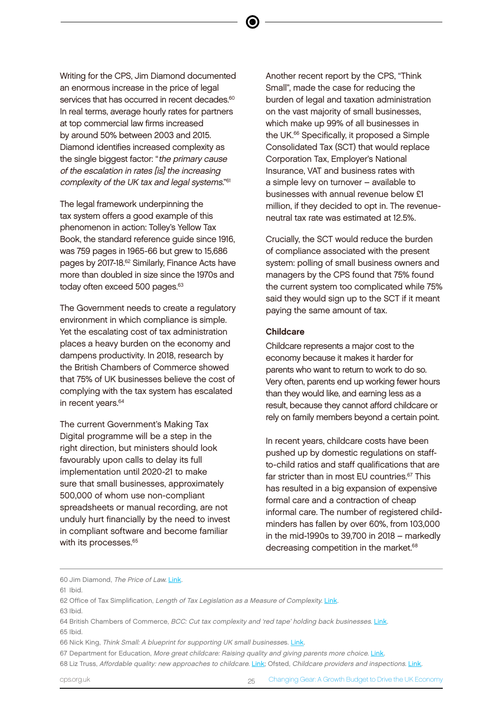Writing for the CPS, Jim Diamond documented an enormous increase in the price of legal services that has occurred in recent decades.<sup>60</sup> In real terms, average hourly rates for partners at top commercial law firms increased by around 50% between 2003 and 2015. Diamond identifies increased complexity as the single biggest factor: "the primary cause of the escalation in rates [is] the increasing complexity of the UK tax and legal systems." 61

The legal framework underpinning the tax system offers a good example of this phenomenon in action: Tolley's Yellow Tax Book, the standard reference guide since 1916, was 759 pages in 1965-66 but grew to 15,686 pages by 2017-18.<sup>62</sup> Similarly, Finance Acts have more than doubled in size since the 1970s and today often exceed 500 pages.<sup>63</sup>

The Government needs to create a regulatory environment in which compliance is simple. Yet the escalating cost of tax administration places a heavy burden on the economy and dampens productivity. In 2018, research by the British Chambers of Commerce showed that 75% of UK businesses believe the cost of complying with the tax system has escalated in recent vears.<sup>64</sup>

The current Government's Making Tax Digital programme will be a step in the right direction, but ministers should look favourably upon calls to delay its full implementation until 2020-21 to make sure that small businesses, approximately 500,000 of whom use non-compliant spreadsheets or manual recording, are not unduly hurt financially by the need to invest in compliant software and become familiar with its processes.<sup>65</sup>

Another recent report by the CPS, "Think Small", made the case for reducing the burden of legal and taxation administration on the vast majority of small businesses, which make up 99% of all businesses in the UK.<sup>66</sup> Specifically, it proposed a Simple Consolidated Tax (SCT) that would replace Corporation Tax, Employer's National Insurance, VAT and business rates with a simple levy on turnover – available to businesses with annual revenue below £1 million, if they decided to opt in. The revenueneutral tax rate was estimated at 12.5%.

Crucially, the SCT would reduce the burden of compliance associated with the present system: polling of small business owners and managers by the CPS found that 75% found the current system too complicated while 75% said they would sign up to the SCT if it meant paying the same amount of tax.

#### Childcare

Childcare represents a major cost to the economy because it makes it harder for parents who want to return to work to do so. Very often, parents end up working fewer hours than they would like, and earning less as a result, because they cannot afford childcare or rely on family members beyond a certain point.

In recent years, childcare costs have been pushed up by domestic regulations on staffto-child ratios and staff qualifications that are far stricter than in most EU countries.<sup>67</sup> This has resulted in a big expansion of expensive formal care and a contraction of cheap informal care. The number of registered childminders has fallen by over 60%, from 103,000 in the mid-1990s to 39,700 in 2018 – markedly decreasing competition in the market.<sup>68</sup>

<sup>60</sup> Jim Diamond, The Price of Law. [Link.](https://www.cps.org.uk/files/reports/original/160203155938-ThePriceofLaw.pdf)

<sup>61</sup> Ibid.

<sup>62</sup> Office of Tax Simplification, Length of Tax Legislation as a Measure of Complexity. [Link](https://assets.publishing.service.gov.uk/government/uploads/system/uploads/attachment_data/file/603470/OTS_length_of_legislation_paper_published_Apr12.pdf). 63 Ibid.

<sup>64</sup> British Chambers of Commerce, BCC: Cut tax complexity and 'red tape' holding back businesses. [Link](https://www.britishchambers.org.uk/news/2018/07/bcc-cut-tax-complexity-and-red-tape-holding-back-businesses).

<sup>65</sup> Ibid.

<sup>66</sup> Nick King, Think Small: A blueprint for supporting UK small businesses. [Link.](https://www.cps.org.uk/files/reports/original/190515134827-20190516ThinkSmall.pdf)

<sup>67</sup> Department for Education, More great childcare: Raising quality and giving parents more choice. [Link](https://assets.publishing.service.gov.uk/government/uploads/system/uploads/attachment_data/file/219660/More_20Great_20Childcare_20v2.pdf).

<sup>68</sup> Liz Truss, Affordable quality: new approaches to childcare. [Link](https://www.cypnow.co.uk/digital_assets/affordable-quality.pdf); Ofsted, Childcare providers and inspections. [Link.](https://assets.publishing.service.gov.uk/government/uploads/system/uploads/attachment_data/file/813765/Childcare_providers_and_inspections_main_findings_as_at_31_December_2018.pdf)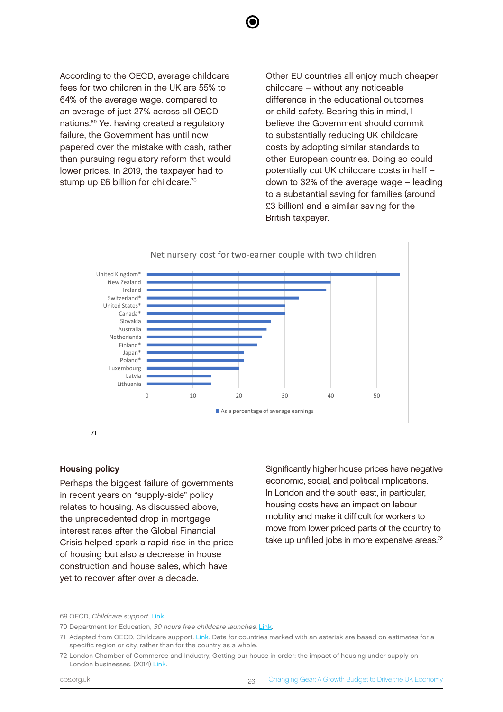According to the OECD, average childcare fees for two children in the UK are 55% to 64% of the average wage, compared to an average of just 27% across all OECD nations.<sup>69</sup> Yet having created a regulatory failure, the Government has until now papered over the mistake with cash, rather than pursuing regulatory reform that would lower prices. In 2019, the taxpayer had to stump up £6 billion for childcare.<sup>70</sup>

Other EU countries all enjoy much cheaper childcare – without any noticeable difference in the educational outcomes or child safety. Bearing this in mind, I believe the Government should commit to substantially reducing UK childcare costs by adopting similar standards to other European countries. Doing so could potentially cut UK childcare costs in half – down to 32% of the average wage – leading to a substantial saving for families (around £3 billion) and a similar saving for the British taxpayer.



71

#### Housing policy

Perhaps the biggest failure of governments in recent years on "supply-side" policy relates to housing. As discussed above, the unprecedented drop in mortgage interest rates after the Global Financial Crisis helped spark a rapid rise in the price of housing but also a decrease in house construction and house sales, which have yet to recover after over a decade.

Significantly higher house prices have negative economic, social, and political implications. In London and the south east, in particular, housing costs have an impact on labour mobility and make it difficult for workers to move from lower priced parts of the country to take up unfilled jobs in more expensive areas.<sup>72</sup>

<sup>69</sup> OECD, Childcare support. [Link](http://www.oecd.org/els/soc/PF3_4_Childcare_support.pdf).

<sup>70</sup> Department for Education, 30 hours free childcare launches. [Link.](https://www.gov.uk/government/news/30-hours-free-childcare-launches)

<sup>71</sup> Adapted from OECD, Childcare support. [Link](http://www.oecd.org/els/soc/PF3_4_Childcare_support.pdf). Data for countries marked with an asterisk are based on estimates for a specific region or city, rather than for the country as a whole.

<sup>72</sup> London Chamber of Commerce and Industry, Getting our house in order: the impact of housing under supply on London businesses, (2014) [Link.](http://www.londonchamber.co.uk/DocImages/12438.pdf)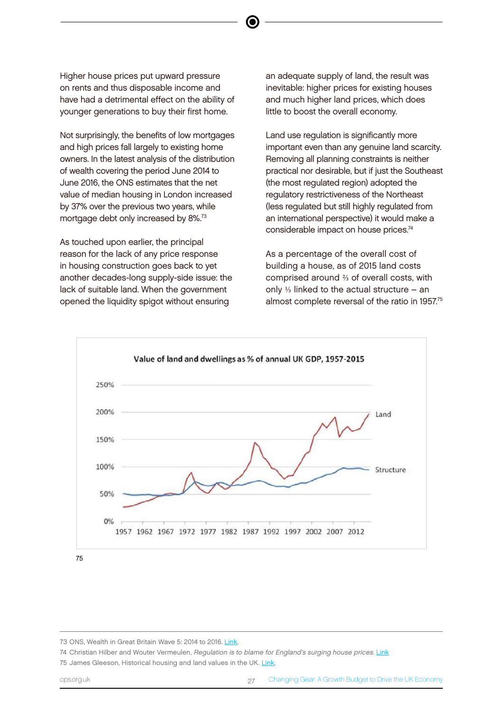Higher house prices put upward pressure on rents and thus disposable income and have had a detrimental effect on the ability of younger generations to buy their first home.

Not surprisingly, the benefits of low mortgages and high prices fall largely to existing home owners. In the latest analysis of the distribution of wealth covering the period June 2014 to June 2016, the ONS estimates that the net value of median housing in London increased by 37% over the previous two years, while mortgage debt only increased by 8%.<sup>73</sup>

As touched upon earlier, the principal reason for the lack of any price response in housing construction goes back to yet another decades-long supply-side issue: the lack of suitable land. When the government opened the liquidity spigot without ensuring

an adequate supply of land, the result was inevitable: higher prices for existing houses and much higher land prices, which does little to boost the overall economy.

Land use regulation is significantly more important even than any genuine land scarcity. Removing all planning constraints is neither practical nor desirable, but if just the Southeast (the most regulated region) adopted the regulatory restrictiveness of the Northeast (less regulated but still highly regulated from an international perspective) it would make a considerable impact on house prices.<sup>74</sup>

As a percentage of the overall cost of building a house, as of 2015 land costs comprised around <sup>2</sup>/<sub>3</sub> of overall costs, with only  $\frac{1}{3}$  linked to the actual structure – an almost complete reversal of the ratio in 1957.<sup>75</sup>



75

74 Christian Hilber and Wouter Vermeulen, Regulation is to blame for England's surging house prices. [Link](https://voxeu.org/article/regulation-blame-england-s-surging-house-prices) 75 James Gleeson, Historical housing and land values in the UK. [Link](https://jamesjgleeson.wordpress.com/2017/04/03/historical-housing-and-land-values-in-the-uk/).

<sup>73</sup> ONS, Wealth in Great Britain Wave 5: 2014 to 2016. [Link](https://www.ons.gov.uk/releases/wealthingreatbritainwave52014to2016).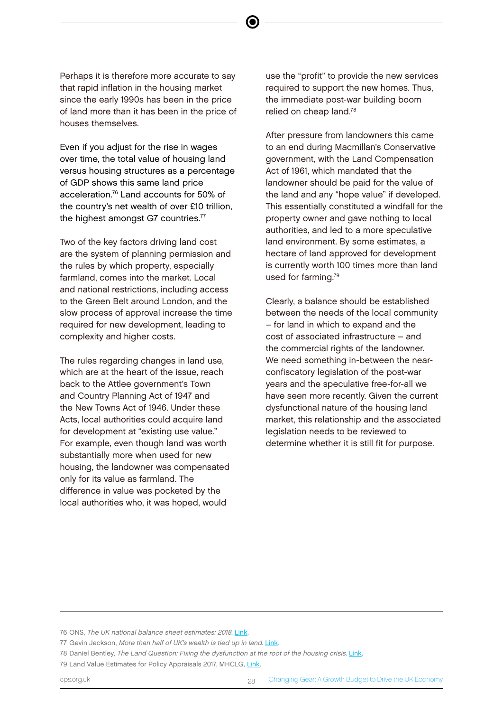Perhaps it is therefore more accurate to say that rapid inflation in the housing market since the early 1990s has been in the price of land more than it has been in the price of houses themselves.

Even if you adjust for the rise in wages over time, the total value of housing land versus housing structures as a percentage of GDP shows this same land price acceleration.<sup>76</sup> Land accounts for 50% of the country's net wealth of over £10 trillion, the highest amongst G7 countries.<sup>77</sup>

Two of the key factors driving land cost are the system of planning permission and the rules by which property, especially farmland, comes into the market. Local and national restrictions, including access to the Green Belt around London, and the slow process of approval increase the time required for new development, leading to complexity and higher costs.

The rules regarding changes in land use, which are at the heart of the issue, reach back to the Attlee government's Town and Country Planning Act of 1947 and the New Towns Act of 1946. Under these Acts, local authorities could acquire land for development at "existing use value." For example, even though land was worth substantially more when used for new housing, the landowner was compensated only for its value as farmland. The difference in value was pocketed by the local authorities who, it was hoped, would

use the "profit" to provide the new services required to support the new homes. Thus, the immediate post-war building boom relied on cheap land.<sup>78</sup>

After pressure from landowners this came to an end during Macmillan's Conservative government, with the Land Compensation Act of 1961, which mandated that the landowner should be paid for the value of the land and any "hope value" if developed. This essentially constituted a windfall for the property owner and gave nothing to local authorities, and led to a more speculative land environment. By some estimates, a hectare of land approved for development is currently worth 100 times more than land used for farming.<sup>79</sup>

Clearly, a balance should be established between the needs of the local community – for land in which to expand and the cost of associated infrastructure – and the commercial rights of the landowner. We need something in-between the nearconfiscatory legislation of the post-war years and the speculative free-for-all we have seen more recently. Given the current dysfunctional nature of the housing land market, this relationship and the associated legislation needs to be reviewed to determine whether it is still fit for purpose.

77 Gavin Jackson, More than half of UK's wealth is tied up in land. [Link](https://www.ft.com/content/91530110-ab88-11e8-89a1-e5de165fa619).

<sup>76</sup> ONS, The UK national balance sheet estimates: 2018. [Link](https://www.ons.gov.uk/economy/nationalaccounts/uksectoraccounts/bulletins/nationalbalancesheet/2018).

<sup>78</sup> Daniel Bentley, The Land Question: Fixing the dysfunction at the root of the housing crisis. [Link](https://www.civitas.org.uk/content/files/thelandquestion.pdf).

<sup>79</sup> Land Value Estimates for Policy Appraisals 2017, MHCLG, [Link.](https://assets.publishing.service.gov.uk/government/uploads/system/uploads/attachment_data/file/710539/Land_Values_2017.pdf)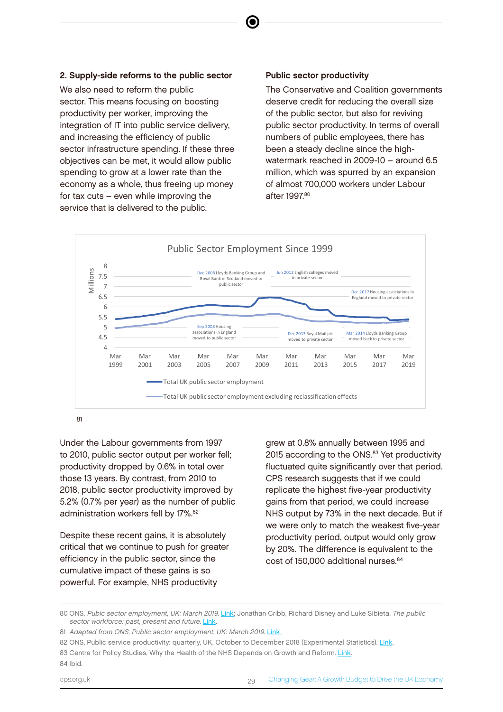#### 2. Supply-side reforms to the public sector

We also need to reform the public sector. This means focusing on boosting productivity per worker, improving the integration of IT into public service delivery, and increasing the efficiency of public sector infrastructure spending. If these three objectives can be met, it would allow public spending to grow at a lower rate than the economy as a whole, thus freeing up money for tax cuts – even while improving the service that is delivered to the public.

#### Public sector productivity

The Conservative and Coalition governments deserve credit for reducing the overall size of the public sector, but also for reviving public sector productivity. In terms of overall numbers of public employees, there has been a steady decline since the highwatermark reached in 2009-10 – around 6.5 million, which was spurred by an expansion of almost 700,000 workers under Labour after 1997<sup>80</sup>



e

Under the Labour governments from 1997 to 2010, public sector output per worker fell; productivity dropped by 0.6% in total over those 13 years. By contrast, from 2010 to 2018, public sector productivity improved by 5.2% (0.7% per year) as the number of public administration workers fell by 17%.<sup>82</sup>

Despite these recent gains, it is absolutely critical that we continue to push for greater efficiency in the public sector, since the cumulative impact of these gains is so powerful. For example, NHS productivity

grew at 0.8% annually between 1995 and 2015 according to the ONS.<sup>83</sup> Yet productivity fluctuated quite significantly over that period. CPS research suggests that if we could replicate the highest five-year productivity gains from that period, we could increase NHS output by 73% in the next decade. But if we were only to match the weakest five-year productivity period, output would only grow by 20%. The difference is equivalent to the cost of 150,000 additional nurses.<sup>84</sup>

<sup>80</sup> ONS, Pubic sector employment, UK: March 2019. [Link;](https://www.ons.gov.uk/employmentandlabourmarket/peopleinwork/publicsectorpersonnel/bulletins/publicsectoremployment/march2019) Jonathan Cribb, Richard Disney and Luke Sibieta, The public sector workforce: past, present and future. [Link.](https://www.ifs.org.uk/publications/7113)

<sup>81</sup> Adapted from ONS, Public sector employment, UK: March 2019. Link

<sup>82</sup> ONS, Public service productivity: quarterly, UK, October to December 2018 (Experimental Statistics). [Link.](https://www.ons.gov.uk/employmentandlabourmarket/peopleinwork/labourproductivity/articles/quarterlypublicserviceproductivityexperimentalstatistics/octobertodecember2018) 83 Centre for Policy Studies, Why the Health of the NHS Depends on Growth and Reform. [Link](https://www.cps.org.uk/research/ons-analysis/) 84 Ibid.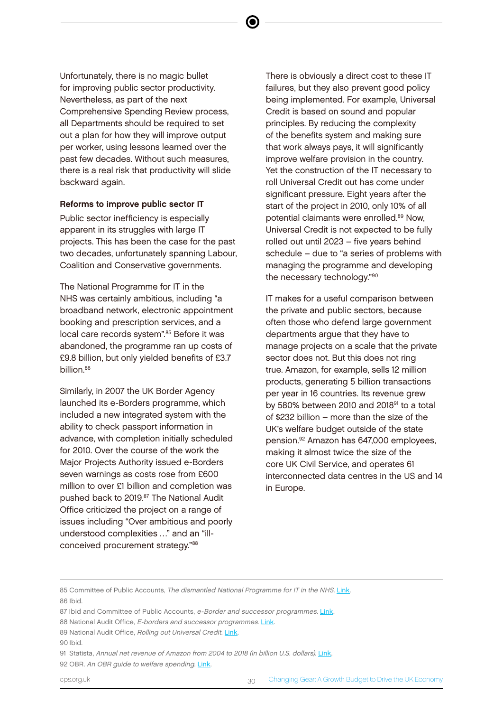Unfortunately, there is no magic bullet for improving public sector productivity. Nevertheless, as part of the next Comprehensive Spending Review process, all Departments should be required to set out a plan for how they will improve output per worker, using lessons learned over the past few decades. Without such measures, there is a real risk that productivity will slide backward again.

#### Reforms to improve public sector IT

Public sector inefficiency is especially apparent in its struggles with large IT projects. This has been the case for the past two decades, unfortunately spanning Labour, Coalition and Conservative governments.

The National Programme for IT in the NHS was certainly ambitious, including "a broadband network, electronic appointment booking and prescription services, and a local care records system".<sup>85</sup> Before it was abandoned, the programme ran up costs of £9.8 billion, but only yielded benefits of £3.7 billion.<sup>86</sup>

Similarly, in 2007 the UK Border Agency launched its e-Borders programme, which included a new integrated system with the ability to check passport information in advance, with completion initially scheduled for 2010. Over the course of the work the Major Projects Authority issued e-Borders seven warnings as costs rose from £600 million to over £1 billion and completion was pushed back to 2019.<sup>87</sup> The National Audit Office criticized the project on a range of issues including "Over ambitious and poorly understood complexities …" and an "illconceived procurement strategy."<sup>88</sup>

There is obviously a direct cost to these IT failures, but they also prevent good policy being implemented. For example, Universal Credit is based on sound and popular principles. By reducing the complexity of the benefits system and making sure that work always pays, it will significantly improve welfare provision in the country. Yet the construction of the IT necessary to roll Universal Credit out has come under significant pressure. Eight years after the start of the project in 2010, only 10% of all potential claimants were enrolled.<sup>89</sup> Now, Universal Credit is not expected to be fully rolled out until 2023 – five years behind schedule – due to "a series of problems with managing the programme and developing the necessary technology."<sup>90</sup>

IT makes for a useful comparison between the private and public sectors, because often those who defend large government departments argue that they have to manage projects on a scale that the private sector does not. But this does not ring true. Amazon, for example, sells 12 million products, generating 5 billion transactions per year in 16 countries. Its revenue grew by 580% between 2010 and 2018 $91$  to a total of \$232 billion – more than the size of the UK's welfare budget outside of the state pension.<sup>92</sup> Amazon has 647,000 employees, making it almost twice the size of the core UK Civil Service, and operates 61 interconnected data centres in the US and 14 in Europe.

<sup>85</sup> Committee of Public Accounts, The dismantled National Programme for IT in the NHS. [Link.](https://publications.parliament.uk/pa/cm201314/cmselect/cmpubacc/294/294.pdf) 86 Ibid.

<sup>87</sup> Ibid and Committee of Public Accounts, e-Border and successor programmes. [Link.](https://publications.parliament.uk/pa/cm201516/cmselect/cmpubacc/643/643.pdf)

<sup>88</sup> National Audit Office, E-borders and successor programmes. [Link](https://www.nao.org.uk/report/home-office-e-borders-and-successor-programmes/).

<sup>89</sup> National Audit Office, Rolling out Universal Credit. [Link](https://www.nao.org.uk/wp-content/uploads/2018/06/Rolling-out-Universal-Credit.pdf).

<sup>90</sup> Ibid.

<sup>91</sup> Statista, Annual net revenue of Amazon from 2004 to 2018 (in billion U.S. dollars). [Link](https://www.statista.com/statistics/266282/annual-net-revenue-of-amazoncom/).

<sup>92</sup> OBR. An OBR guide to welfare spending. [Link](https://obr.uk/forecasts-in-depth/brief-guides-and-explainers/an-obr-guide-to-welfare-spending/).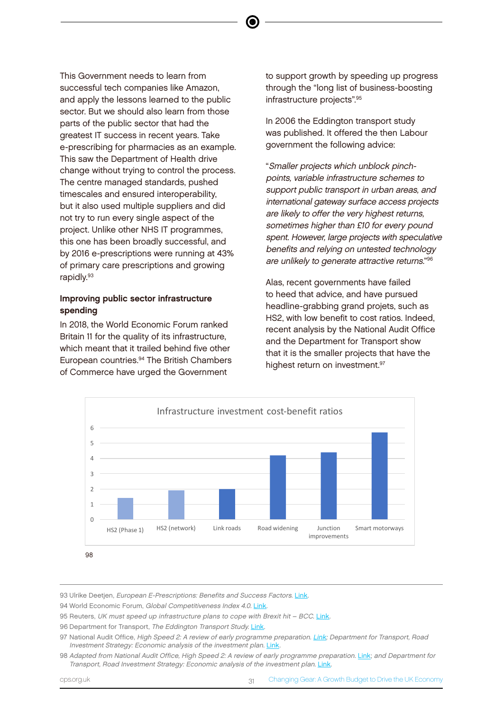This Government needs to learn from successful tech companies like Amazon, and apply the lessons learned to the public sector. But we should also learn from those parts of the public sector that had the greatest IT success in recent years. Take e-prescribing for pharmacies as an example. This saw the Department of Health drive change without trying to control the process. The centre managed standards, pushed timescales and ensured interoperability, but it also used multiple suppliers and did not try to run every single aspect of the project. Unlike other NHS IT programmes, this one has been broadly successful, and by 2016 e-prescriptions were running at 43% of primary care prescriptions and growing rapidly.93

#### Improving public sector infrastructure spending

In 2018, the World Economic Forum ranked Britain 11 for the quality of its infrastructure, which meant that it trailed behind five other European countries.<sup>94</sup> The British Chambers of Commerce have urged the Government

to support growth by speeding up progress through the "long list of business-boosting infrastructure projects".<sup>95</sup>

In 2006 the Eddington transport study was published. It offered the then Labour government the following advice:

"Smaller projects which unblock pinchpoints, variable infrastructure schemes to support public transport in urban areas, and international gateway surface access projects are likely to offer the very highest returns, sometimes higher than £10 for every pound spent. However, large projects with speculative benefits and relying on untested technology are unlikely to generate attractive returns."<sup>96</sup>

Alas, recent governments have failed to heed that advice, and have pursued headline-grabbing grand projets, such as HS2, with low benefit to cost ratios. Indeed, recent analysis by the National Audit Office and the Department for Transport show that it is the smaller projects that have the highest return on investment.<sup>97</sup>



93 Ulrike Deetjen, European E-Prescriptions: Benefits and Success Factors. [Link](https://www.politics.ox.ac.uk/materials/publications/15224/workingpaperno5ulrikedeetjen.pdf).

94 World Economic Forum, Global Competitiveness Index 4.0. [Link](http://reports.weforum.org/global-competitiveness-report-2018/competitiveness-rankings/).

- 95 Reuters, UK must speed up infrastructure plans to cope with Brexit hit BCC. [Link](https://uk.reuters.com/article/uk-britain-euemployers-idUKKCN11H0S7).
- 96 Department for Transport, The Eddington Transport Study, [Link](https://webarchive.nationalarchives.gov.uk/20081230093524tf_/http:/www.dft.gov.uk/about/strategy/transportstrategy/eddingtonstudy/).
- 97 National Audit Office, High Speed 2: A review of early programme preparation. [Link](https://www.nao.org.uk/wp-content/uploads/2013/07/Full-Report.pdf); Department for Transport, Road Investment Strategy: Economic analysis of the investment plan. [Link.](https://assets.publishing.service.gov.uk/government/uploads/system/uploads/attachment_data/file/411417/ris-economic-analysis.pdf)

<sup>98</sup> Adapted from National Audit Office, High Speed 2: A review of early programme preparation. [Link;](https://www.nao.org.uk/wp-content/uploads/2013/07/Full-Report.pdf) and Department for Transport, Road Investment Strategy: Economic analysis of the investment plan. [Link.](https://assets.publishing.service.gov.uk/government/uploads/system/uploads/attachment_data/file/411417/ris-economic-analysis.pdf)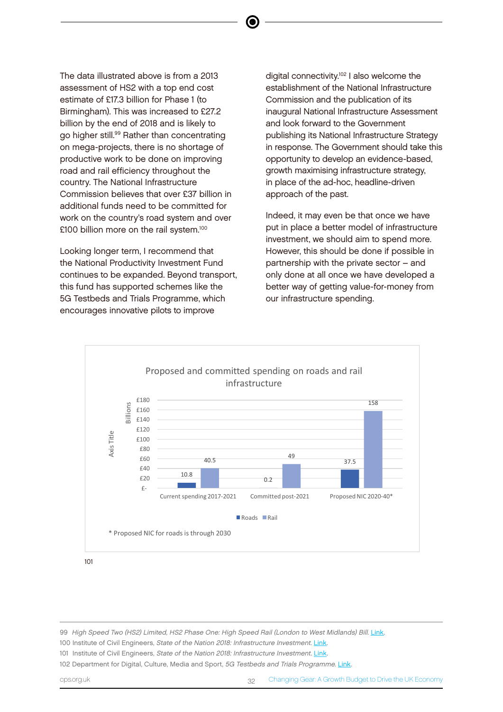The data illustrated above is from a 2013 assessment of HS2 with a top end cost estimate of £17.3 billion for Phase 1 (to Birmingham). This was increased to £27.2 billion by the end of 2018 and is likely to go higher still.<sup>99</sup> Rather than concentrating on mega-projects, there is no shortage of productive work to be done on improving road and rail efficiency throughout the country. The National Infrastructure Commission believes that over £37 billion in additional funds need to be committed for work on the country's road system and over £100 billion more on the rail system.<sup>100</sup>

Looking longer term, I recommend that the National Productivity Investment Fund continues to be expanded. Beyond transport, this fund has supported schemes like the 5G Testbeds and Trials Programme, which encourages innovative pilots to improve

digital connectivity.<sup>102</sup> I also welcome the establishment of the National Infrastructure Commission and the publication of its inaugural National Infrastructure Assessment and look forward to the Government publishing its National Infrastructure Strategy in response. The Government should take this opportunity to develop an evidence-based, growth maximising infrastructure strategy, in place of the ad-hoc, headline-driven approach of the past.

Indeed, it may even be that once we have put in place a better model of infrastructure investment, we should aim to spend more. However, this should be done if possible in partnership with the private sector – and only done at all once we have developed a better way of getting value-for-money from our infrastructure spending.



101

99 High Speed Two (HS2) Limited, HS2 Phase One: High Speed Rail (London to West Midlands) Bill. [Link](https://www.gov.uk/government/collections/high-speed-rail-london-west-midlands-bill).

100 Institute of Civil Engineers, State of the Nation 2018: Infrastructure Investment. [Link.](https://www.ice.org.uk/news-and-insight/policy/state-of-the-nation-2018-infrastructure-investment)

101 Institute of Civil Engineers, State of the Nation 2018: Infrastructure Investment. [Link.](https://www.ice.org.uk/news-and-insight/policy/state-of-the-nation-2018-infrastructure-investment)

102 Department for Digital, Culture, Media and Sport, 5G Testbeds and Trials Programme. [Link](https://www.gov.uk/government/collections/5g-testbeds-and-trials-programme).

cps.org.uk 32 Changing Gear: A Growth Budget to Drive the UK Economy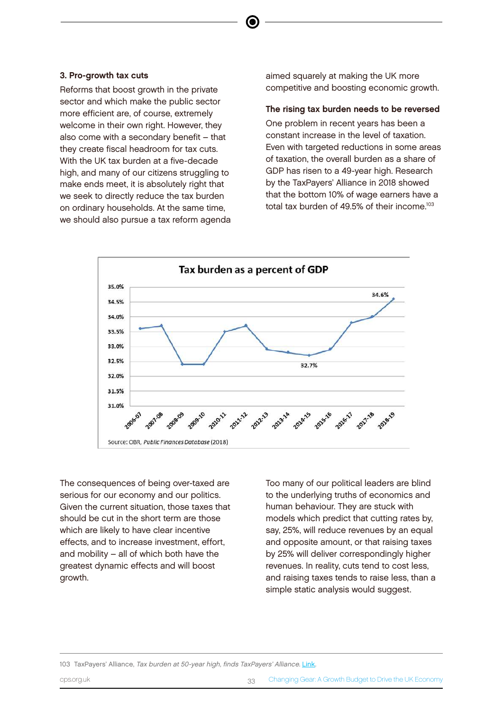#### 3. Pro-growth tax cuts

Reforms that boost growth in the private sector and which make the public sector more efficient are, of course, extremely welcome in their own right. However, they also come with a secondary benefit – that they create fiscal headroom for tax cuts. With the UK tax burden at a five-decade high, and many of our citizens struggling to make ends meet, it is absolutely right that we seek to directly reduce the tax burden on ordinary households. At the same time, we should also pursue a tax reform agenda aimed squarely at making the UK more competitive and boosting economic growth.

#### The rising tax burden needs to be reversed

One problem in recent years has been a constant increase in the level of taxation. Even with targeted reductions in some areas of taxation, the overall burden as a share of GDP has risen to a 49-year high. Research by the TaxPayers' Alliance in 2018 showed that the bottom 10% of wage earners have a total tax burden of 49.5% of their income.<sup>103</sup>



The consequences of being over-taxed are serious for our economy and our politics. Given the current situation, those taxes that should be cut in the short term are those which are likely to have clear incentive effects, and to increase investment, effort, and mobility – all of which both have the greatest dynamic effects and will boost growth.

Too many of our political leaders are blind to the underlying truths of economics and human behaviour. They are stuck with models which predict that cutting rates by, say, 25%, will reduce revenues by an equal and opposite amount, or that raising taxes by 25% will deliver correspondingly higher revenues. In reality, cuts tend to cost less, and raising taxes tends to raise less, than a simple static analysis would suggest.

103 TaxPayers' Alliance, Tax burden at 50-year high, finds TaxPayers' Alliance. [Link](https://www.taxpayersalliance.com/tax_burden_at_a_50_year_high_finds_taxpayers_alliance).

<sup>103</sup> TaxPayers' Alliance, *Tax burden at 50-year high, finds TaxPayers' Alliance*. Link. 

cps.org.uk 33 Changing Gear: A Growth Budget to Drive the UK Economy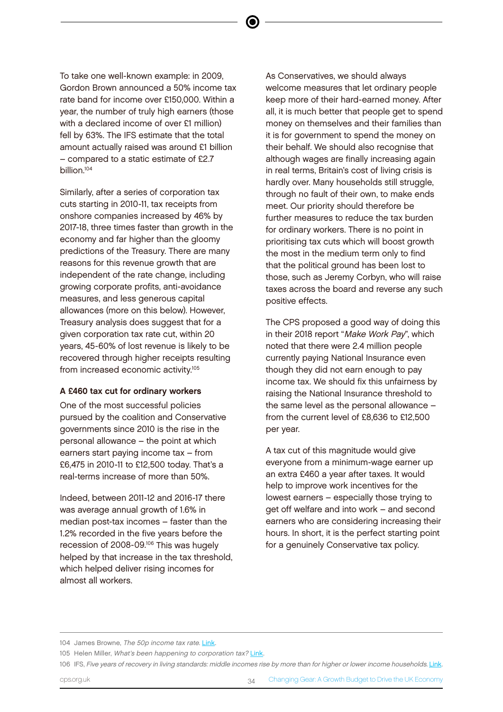To take one well-known example: in 2009, Gordon Brown announced a 50% income tax rate band for income over £150,000. Within a year, the number of truly high earners (those with a declared income of over £1 million) fell by 63%. The IFS estimate that the total amount actually raised was around £1 billion – compared to a static estimate of £2.7 billion.<sup>104</sup>

Similarly, after a series of corporation tax cuts starting in 2010-11, tax receipts from onshore companies increased by 46% by 2017-18, three times faster than growth in the economy and far higher than the gloomy predictions of the Treasury. There are many reasons for this revenue growth that are independent of the rate change, including growing corporate profits, anti-avoidance measures, and less generous capital allowances (more on this below). However, Treasury analysis does suggest that for a given corporation tax rate cut, within 20 years, 45-60% of lost revenue is likely to be recovered through higher receipts resulting from increased economic activity.<sup>105</sup>

#### A £460 tax cut for ordinary workers

One of the most successful policies pursued by the coalition and Conservative governments since 2010 is the rise in the personal allowance – the point at which earners start paying income tax – from £6,475 in 2010-11 to £12,500 today. That's a real-terms increase of more than 50%.

Indeed, between 2011-12 and 2016-17 there was average annual growth of 1.6% in median post-tax incomes – faster than the 1.2% recorded in the five years before the recession of 2008-09.<sup>106</sup> This was hugely helped by that increase in the tax threshold, which helped deliver rising incomes for almost all workers.

As Conservatives, we should always welcome measures that let ordinary people keep more of their hard-earned money. After all, it is much better that people get to spend money on themselves and their families than it is for government to spend the money on their behalf. We should also recognise that although wages are finally increasing again in real terms, Britain's cost of living crisis is hardly over. Many households still struggle, through no fault of their own, to make ends meet. Our priority should therefore be further measures to reduce the tax burden for ordinary workers. There is no point in prioritising tax cuts which will boost growth the most in the medium term only to find that the political ground has been lost to those, such as Jeremy Corbyn, who will raise taxes across the board and reverse any such positive effects.

The CPS proposed a good way of doing this in their 2018 report "Make Work Pay", which noted that there were 2.4 million people currently paying National Insurance even though they did not earn enough to pay income tax. We should fix this unfairness by raising the National Insurance threshold to the same level as the personal allowance – from the current level of £8,636 to £12,500 per year.

A tax cut of this magnitude would give everyone from a minimum-wage earner up an extra £460 a year after taxes. It would help to improve work incentives for the lowest earners – especially those trying to get off welfare and into work – and second earners who are considering increasing their hours. In short, it is the perfect starting point for a genuinely Conservative tax policy.

<sup>104</sup> James Browne, The 50p income tax rate. [Link](https://www.ifs.org.uk/budgets/budget2012/budget2012jamesbrowne.pdf).

<sup>105</sup> Helen Miller, What's been happening to corporation tax? [Link.](https://www.ifs.org.uk/publications/9207)

<sup>106</sup> IFS, Five years of recovery in living standards: middle incomes rise by more than for higher or lower income households. [Link.](https://www.ifs.org.uk/uploads/BN228.pdf)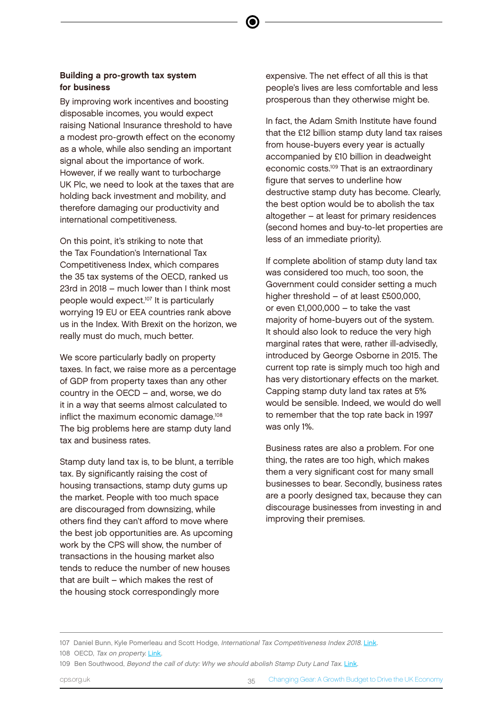#### Building a pro-growth tax system for business

By improving work incentives and boosting disposable incomes, you would expect raising National Insurance threshold to have a modest pro-growth effect on the economy as a whole, while also sending an important signal about the importance of work. However, if we really want to turbocharge UK Plc, we need to look at the taxes that are holding back investment and mobility, and therefore damaging our productivity and international competitiveness.

On this point, it's striking to note that the Tax Foundation's International Tax Competitiveness Index, which compares the 35 tax systems of the OECD, ranked us 23rd in 2018 – much lower than I think most people would expect.<sup>107</sup> It is particularly worrying 19 EU or EEA countries rank above us in the Index. With Brexit on the horizon, we really must do much, much better.

We score particularly badly on property taxes. In fact, we raise more as a percentage of GDP from property taxes than any other country in the OECD – and, worse, we do it in a way that seems almost calculated to inflict the maximum economic damage.<sup>108</sup> The big problems here are stamp duty land tax and business rates.

Stamp duty land tax is, to be blunt, a terrible tax. By significantly raising the cost of housing transactions, stamp duty gums up the market. People with too much space are discouraged from downsizing, while others find they can't afford to move where the best job opportunities are. As upcoming work by the CPS will show, the number of transactions in the housing market also tends to reduce the number of new houses that are built – which makes the rest of the housing stock correspondingly more

expensive. The net effect of all this is that people's lives are less comfortable and less prosperous than they otherwise might be.

In fact, the Adam Smith Institute have found that the £12 billion stamp duty land tax raises from house-buyers every year is actually accompanied by £10 billion in deadweight economic costs.<sup>109</sup> That is an extraordinary figure that serves to underline how destructive stamp duty has become. Clearly, the best option would be to abolish the tax altogether – at least for primary residences (second homes and buy-to-let properties are less of an immediate priority).

If complete abolition of stamp duty land tax was considered too much, too soon, the Government could consider setting a much higher threshold – of at least £500,000. or even £1,000,000 – to take the vast majority of home-buyers out of the system. It should also look to reduce the very high marginal rates that were, rather ill-advisedly, introduced by George Osborne in 2015. The current top rate is simply much too high and has very distortionary effects on the market. Capping stamp duty land tax rates at 5% would be sensible. Indeed, we would do well to remember that the top rate back in 1997 was only 1%.

Business rates are also a problem. For one thing, the rates are too high, which makes them a very significant cost for many small businesses to bear. Secondly, business rates are a poorly designed tax, because they can discourage businesses from investing in and improving their premises.

<sup>107</sup> Daniel Bunn, Kyle Pomerleau and Scott Hodge, International Tax Competitiveness Index 2018. [Link.](https://files.taxfoundation.org/20190213134207/ITCI_2018.pdf)

<sup>108</sup> OECD, Tax on property. [Link.](https://data.oecd.org/tax/tax-on-property.htm)

<sup>109</sup> Ben Southwood, Beyond the call of duty: Why we should abolish Stamp Duty Land Tax. [Link.](https://static1.squarespace.com/static/56eddde762cd9413e151ac92/t/59f35a84f9619a618714a5df/1509120655818/Beyond+the+Call+of+Duty+.pdf)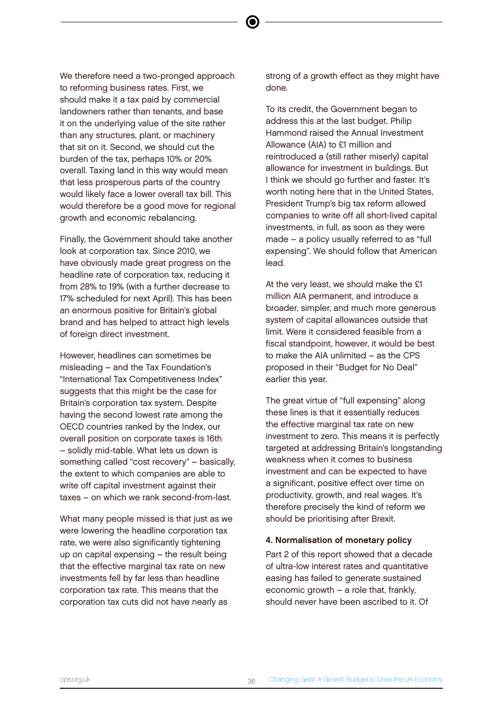We therefore need a two-pronged approach to reforming business rates. First, we should make it a tax paid by commercial landowners rather than tenants, and base it on the underlying value of the site rather than any structures, plant, or machinery that sit on it. Second, we should cut the burden of the tax, perhaps 10% or 20% overall. Taxing land in this way would mean that less prosperous parts of the country would likely face a lower overall tax bill. This would therefore be a good move for regional growth and economic rebalancing.

Finally, the Government should take another look at corporation tax. Since 2010, we have obviously made great progress on the headline rate of corporation tax, reducing it from 28% to 19% (with a further decrease to 17% scheduled for next April). This has been an enormous positive for Britain's global brand and has helped to attract high levels of foreign direct investment.

However, headlines can sometimes be misleading – and the Tax Foundation's "International Tax Competitiveness Index" suggests that this might be the case for Britain's corporation tax system. Despite having the second lowest rate among the OECD countries ranked by the Index, our overall position on corporate taxes is 16th – solidly mid-table. What lets us down is something called "cost recovery" – basically, the extent to which companies are able to write off capital investment against their taxes – on which we rank second-from-last.

What many people missed is that just as we were lowering the headline corporation tax rate, we were also significantly tightening up on capital expensing – the result being that the effective marginal tax rate on new investments fell by far less than headline corporation tax rate. This means that the corporation tax cuts did not have nearly as

strong of a growth effect as they might have done.

To its credit, the Government began to address this at the last budget. Philip Hammond raised the Annual Investment Allowance (AIA) to £1 million and reintroduced a (still rather miserly) capital allowance for investment in buildings. But I think we should go further and faster. It's worth noting here that in the United States, President Trump's big tax reform allowed companies to write off all short-lived capital investments, in full, as soon as they were made – a policy usually referred to as "full expensing". We should follow that American lead.

At the very least, we should make the £1 million AIA permanent, and introduce a broader, simpler, and much more generous system of capital allowances outside that limit. Were it considered feasible from a fiscal standpoint, however, it would be best to make the AIA unlimited – as the CPS proposed in their "Budget for No Deal" earlier this year.

The great virtue of "full expensing" along these lines is that it essentially reduces the effective marginal tax rate on new investment to zero. This means it is perfectly targeted at addressing Britain's longstanding weakness when it comes to business investment and can be expected to have a significant, positive effect over time on productivity, growth, and real wages. It's therefore precisely the kind of reform we should be prioritising after Brexit.

#### 4. Normalisation of monetary policy

Part 2 of this report showed that a decade of ultra-low interest rates and quantitative easing has failed to generate sustained economic growth – a role that, frankly, should never have been ascribed to it. Of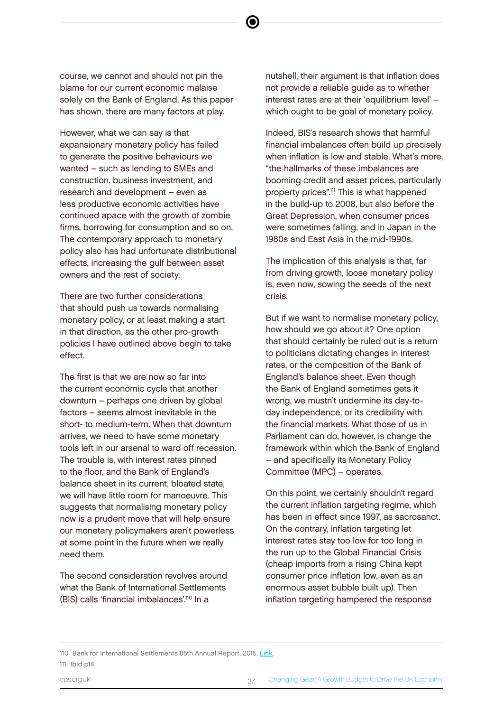course, we cannot and should not pin the blame for our current economic malaise solely on the Bank of England. As this paper has shown, there are many factors at play.

However, what we can say is that expansionary monetary policy has failed to generate the positive behaviours we wanted – such as lending to SMEs and construction, business investment, and research and development – even as less productive economic activities have continued apace with the growth of zombie firms, borrowing for consumption and so on. The contemporary approach to monetary policy also has had unfortunate distributional effects, increasing the gulf between asset owners and the rest of society.

There are two further considerations that should push us towards normalising monetary policy, or at least making a start in that direction, as the other pro-growth policies I have outlined above begin to take effect.

The first is that we are now so far into the current economic cycle that another downturn – perhaps one driven by global factors – seems almost inevitable in the short- to medium-term. When that downturn arrives, we need to have some monetary tools left in our arsenal to ward off recession. The trouble is, with interest rates pinned to the floor, and the Bank of England's balance sheet in its current, bloated state, we will have little room for manoeuvre. This suggests that normalising monetary policy now is a prudent move that will help ensure our monetary policymakers aren't powerless at some point in the future when we really need them.

The second consideration revolves around what the Bank of International Settlements (BIS) calls 'financial imbalances'.<sup>110</sup> In a

nutshell, their argument is that inflation does not provide a reliable guide as to whether interest rates are at their 'equilibrium level' – which ought to be goal of monetary policy.

Indeed, BIS's research shows that harmful financial imbalances often build up precisely when inflation is low and stable. What's more, "the hallmarks of these imbalances are booming credit and asset prices, particularly property prices".<sup>111</sup> This is what happened in the build-up to 2008, but also before the Great Depression, when consumer prices were sometimes falling, and in Japan in the 1980s and East Asia in the mid-1990s.

The implication of this analysis is that, far from driving growth, loose monetary policy is, even now, sowing the seeds of the next crisis.

But if we want to normalise monetary policy, how should we go about it? One option that should certainly be ruled out is a return to politicians dictating changes in interest rates, or the composition of the Bank of England's balance sheet. Even though the Bank of England sometimes gets it wrong, we mustn't undermine its day-today independence, or its credibility with the financial markets. What those of us in Parliament can do, however, is change the framework within which the Bank of England – and specifically its Monetary Policy Committee (MPC) – operates.

On this point, we certainly shouldn't regard the current inflation targeting regime, which has been in effect since 1997, as sacrosanct. On the contrary, inflation targeting let interest rates stay too low for too long in the run up to the Global Financial Crisis (cheap imports from a rising China kept consumer price inflation low, even as an enormous asset bubble built up). Then inflation targeting hampered the response

<sup>110</sup> Bank for International Settlements 85th Annual Report, 2015. [Link.](https://www.bis.org/publ/arpdf/ar2015e.pdf) 111 Ibid p14.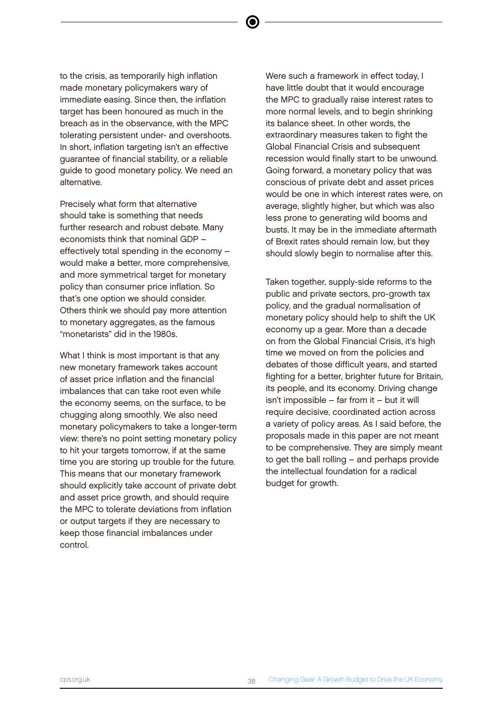to the crisis, as temporarily high inflation made monetary policymakers wary of immediate easing. Since then, the inflation target has been honoured as much in the breach as in the observance, with the MPC tolerating persistent under- and overshoots. In short, inflation targeting isn't an effective guarantee of financial stability, or a reliable guide to good monetary policy. We need an alternative.

Precisely what form that alternative should take is something that needs further research and robust debate. Many economists think that nominal GDP – effectively total spending in the economy – would make a better, more comprehensive, and more symmetrical target for monetary policy than consumer price inflation. So that's one option we should consider. Others think we should pay more attention to monetary aggregates, as the famous "monetarists" did in the 1980s.

What I think is most important is that any new monetary framework takes account of asset price inflation and the financial imbalances that can take root even while the economy seems, on the surface, to be chugging along smoothly. We also need monetary policymakers to take a longer-term view: there's no point setting monetary policy to hit your targets tomorrow, if at the same time you are storing up trouble for the future. This means that our monetary framework should explicitly take account of private debt and asset price growth, and should require the MPC to tolerate deviations from inflation or output targets if they are necessary to keep those financial imbalances under control.

Were such a framework in effect today, I have little doubt that it would encourage the MPC to gradually raise interest rates to more normal levels, and to begin shrinking its balance sheet. In other words, the extraordinary measures taken to fight the Global Financial Crisis and subsequent recession would finally start to be unwound. Going forward, a monetary policy that was conscious of private debt and asset prices would be one in which interest rates were, on average, slightly higher, but which was also less prone to generating wild booms and busts. It may be in the immediate aftermath of Brexit rates should remain low, but they should slowly begin to normalise after this.

Taken together, supply-side reforms to the public and private sectors, pro-growth tax policy, and the gradual normalisation of monetary policy should help to shift the UK economy up a gear. More than a decade on from the Global Financial Crisis, it's high time we moved on from the policies and debates of those difficult years, and started fighting for a better, brighter future for Britain, its people, and its economy. Driving change isn't impossible – far from it – but it will require decisive, coordinated action across a variety of policy areas. As I said before, the proposals made in this paper are not meant to be comprehensive. They are simply meant to get the ball rolling – and perhaps provide the intellectual foundation for a radical budget for growth.